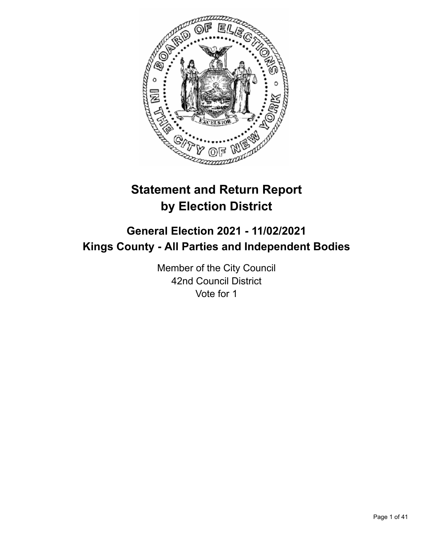

# **Statement and Return Report by Election District**

# **General Election 2021 - 11/02/2021 Kings County - All Parties and Independent Bodies**

Member of the City Council 42nd Council District Vote for 1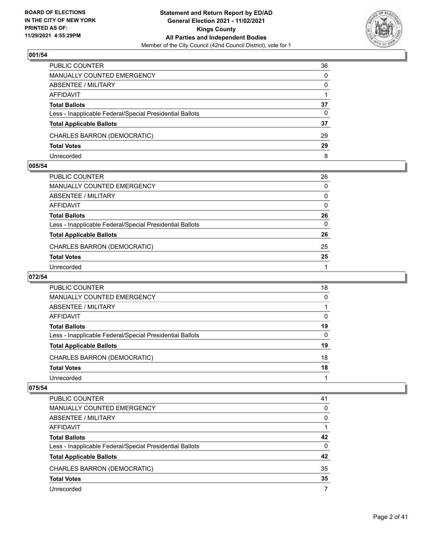

| PUBLIC COUNTER                                           | 36 |
|----------------------------------------------------------|----|
| <b>MANUALLY COUNTED EMERGENCY</b>                        | 0  |
| <b>ABSENTEE / MILITARY</b>                               | 0  |
| AFFIDAVIT                                                |    |
| <b>Total Ballots</b>                                     | 37 |
| Less - Inapplicable Federal/Special Presidential Ballots | 0  |
| <b>Total Applicable Ballots</b>                          | 37 |
| CHARLES BARRON (DEMOCRATIC)                              | 29 |
| <b>Total Votes</b>                                       | 29 |
| Unrecorded                                               | 8  |

#### **005/54**

| PUBLIC COUNTER                                           | 26           |
|----------------------------------------------------------|--------------|
| <b>MANUALLY COUNTED EMERGENCY</b>                        | 0            |
| ABSENTEE / MILITARY                                      | 0            |
| AFFIDAVIT                                                | 0            |
| <b>Total Ballots</b>                                     | 26           |
| Less - Inapplicable Federal/Special Presidential Ballots | $\mathbf{0}$ |
| <b>Total Applicable Ballots</b>                          | 26           |
| CHARLES BARRON (DEMOCRATIC)                              | 25           |
| <b>Total Votes</b>                                       | 25           |
| Unrecorded                                               | 1            |

# **072/54**

| PUBLIC COUNTER                                           | 18       |
|----------------------------------------------------------|----------|
| <b>MANUALLY COUNTED EMERGENCY</b>                        | 0        |
| ABSENTEE / MILITARY                                      |          |
| AFFIDAVIT                                                | 0        |
| <b>Total Ballots</b>                                     | 19       |
| Less - Inapplicable Federal/Special Presidential Ballots | $\Omega$ |
| <b>Total Applicable Ballots</b>                          | 19       |
| CHARLES BARRON (DEMOCRATIC)                              | 18       |
| <b>Total Votes</b>                                       | 18       |
| Unrecorded                                               |          |

| PUBLIC COUNTER                                           | 41 |
|----------------------------------------------------------|----|
| <b>MANUALLY COUNTED EMERGENCY</b>                        | 0  |
| ABSENTEE / MILITARY                                      | 0  |
| AFFIDAVIT                                                |    |
| <b>Total Ballots</b>                                     | 42 |
| Less - Inapplicable Federal/Special Presidential Ballots | 0  |
| <b>Total Applicable Ballots</b>                          | 42 |
| CHARLES BARRON (DEMOCRATIC)                              | 35 |
| <b>Total Votes</b>                                       | 35 |
| Unrecorded                                               |    |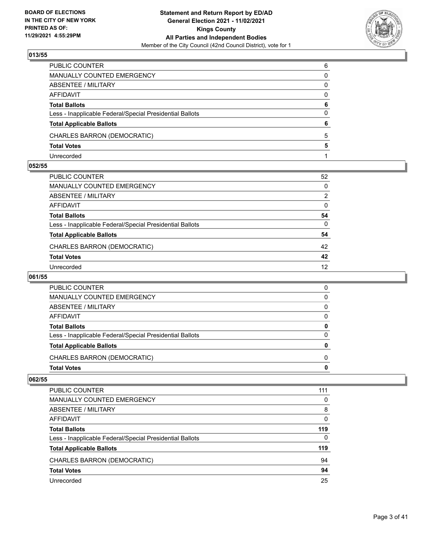

| PUBLIC COUNTER                                           | 6        |
|----------------------------------------------------------|----------|
| <b>MANUALLY COUNTED EMERGENCY</b>                        | 0        |
| ABSENTEE / MILITARY                                      | 0        |
| <b>AFFIDAVIT</b>                                         | $\Omega$ |
| <b>Total Ballots</b>                                     | 6        |
| Less - Inapplicable Federal/Special Presidential Ballots | 0        |
| <b>Total Applicable Ballots</b>                          | 6        |
| CHARLES BARRON (DEMOCRATIC)                              | 5        |
| <b>Total Votes</b>                                       | 5        |
| Unrecorded                                               |          |

#### **052/55**

| PUBLIC COUNTER                                           | 52                |
|----------------------------------------------------------|-------------------|
| MANUALLY COUNTED EMERGENCY                               | 0                 |
| ABSENTEE / MILITARY                                      | $\overline{2}$    |
| AFFIDAVIT                                                | 0                 |
| Total Ballots                                            | 54                |
| Less - Inapplicable Federal/Special Presidential Ballots | 0                 |
| <b>Total Applicable Ballots</b>                          | 54                |
| CHARLES BARRON (DEMOCRATIC)                              | 42                |
| <b>Total Votes</b>                                       | 42                |
| Unrecorded                                               | $12 \overline{ }$ |

# **061/55**

| <b>Total Votes</b>                                       | 0 |
|----------------------------------------------------------|---|
| CHARLES BARRON (DEMOCRATIC)                              | 0 |
| <b>Total Applicable Ballots</b>                          | 0 |
| Less - Inapplicable Federal/Special Presidential Ballots | 0 |
| <b>Total Ballots</b>                                     | 0 |
| AFFIDAVIT                                                | 0 |
| ABSENTEE / MILITARY                                      | 0 |
| MANUALLY COUNTED EMERGENCY                               | 0 |
| <b>PUBLIC COUNTER</b>                                    | 0 |

| <b>PUBLIC COUNTER</b>                                    | 111 |
|----------------------------------------------------------|-----|
| <b>MANUALLY COUNTED EMERGENCY</b>                        | 0   |
| ABSENTEE / MILITARY                                      | 8   |
| AFFIDAVIT                                                | 0   |
| <b>Total Ballots</b>                                     | 119 |
| Less - Inapplicable Federal/Special Presidential Ballots | 0   |
| <b>Total Applicable Ballots</b>                          | 119 |
| CHARLES BARRON (DEMOCRATIC)                              | 94  |
| <b>Total Votes</b>                                       | 94  |
| Unrecorded                                               | 25  |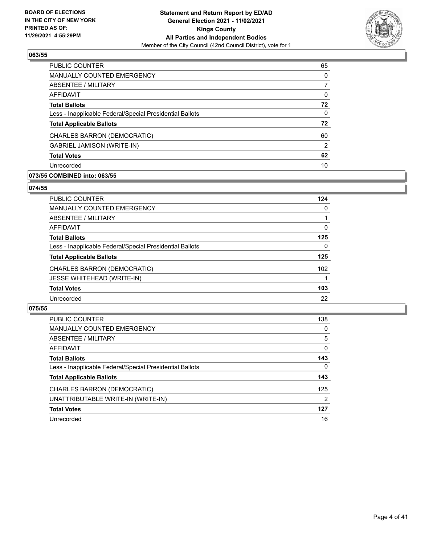

| PUBLIC COUNTER                                           | 65       |
|----------------------------------------------------------|----------|
| MANUALLY COUNTED EMERGENCY                               | $\Omega$ |
| ABSENTEE / MILITARY                                      | 7        |
| AFFIDAVIT                                                | 0        |
| <b>Total Ballots</b>                                     | 72       |
| Less - Inapplicable Federal/Special Presidential Ballots | $\Omega$ |
| <b>Total Applicable Ballots</b>                          | 72       |
| CHARLES BARRON (DEMOCRATIC)                              | 60       |
| <b>GABRIEL JAMISON (WRITE-IN)</b>                        | 2        |
| <b>Total Votes</b>                                       | 62       |
| Unrecorded                                               | 10       |

## **073/55 COMBINED into: 063/55**

#### **074/55**

| <b>PUBLIC COUNTER</b>                                    | 124              |
|----------------------------------------------------------|------------------|
| <b>MANUALLY COUNTED EMERGENCY</b>                        | $\Omega$         |
| <b>ABSENTEE / MILITARY</b>                               |                  |
| <b>AFFIDAVIT</b>                                         | 0                |
| <b>Total Ballots</b>                                     | 125              |
| Less - Inapplicable Federal/Special Presidential Ballots | $\mathbf{0}$     |
| <b>Total Applicable Ballots</b>                          | 125              |
| CHARLES BARRON (DEMOCRATIC)                              | 102 <sub>2</sub> |
| <b>JESSE WHITEHEAD (WRITE-IN)</b>                        |                  |
| <b>Total Votes</b>                                       | 103              |
| Unrecorded                                               | 22               |
|                                                          |                  |

| <b>PUBLIC COUNTER</b>                                    | 138 |
|----------------------------------------------------------|-----|
| MANUALLY COUNTED EMERGENCY                               | 0   |
| ABSENTEE / MILITARY                                      | 5   |
| AFFIDAVIT                                                | 0   |
| <b>Total Ballots</b>                                     | 143 |
| Less - Inapplicable Federal/Special Presidential Ballots | 0   |
| <b>Total Applicable Ballots</b>                          | 143 |
| CHARLES BARRON (DEMOCRATIC)                              | 125 |
| UNATTRIBUTABLE WRITE-IN (WRITE-IN)                       | 2   |
| <b>Total Votes</b>                                       | 127 |
| Unrecorded                                               | 16  |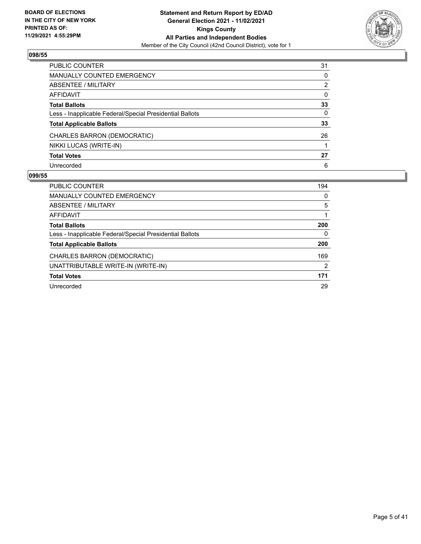

| PUBLIC COUNTER                                           | 31           |
|----------------------------------------------------------|--------------|
| <b>MANUALLY COUNTED EMERGENCY</b>                        | $\Omega$     |
| ABSENTEE / MILITARY                                      | 2            |
| <b>AFFIDAVIT</b>                                         | $\mathbf{0}$ |
| <b>Total Ballots</b>                                     | 33           |
| Less - Inapplicable Federal/Special Presidential Ballots | 0            |
| <b>Total Applicable Ballots</b>                          | 33           |
| CHARLES BARRON (DEMOCRATIC)                              | 26           |
| NIKKI LUCAS (WRITE-IN)                                   |              |
| <b>Total Votes</b>                                       | 27           |
| Unrecorded                                               | 6            |

| PUBLIC COUNTER                                           | 194      |
|----------------------------------------------------------|----------|
| <b>MANUALLY COUNTED EMERGENCY</b>                        | $\Omega$ |
| ABSENTEE / MILITARY                                      | 5        |
| AFFIDAVIT                                                |          |
| <b>Total Ballots</b>                                     | 200      |
| Less - Inapplicable Federal/Special Presidential Ballots | 0        |
| <b>Total Applicable Ballots</b>                          | 200      |
| CHARLES BARRON (DEMOCRATIC)                              | 169      |
| UNATTRIBUTABLE WRITE-IN (WRITE-IN)                       | 2        |
| <b>Total Votes</b>                                       | 171      |
| Unrecorded                                               | 29       |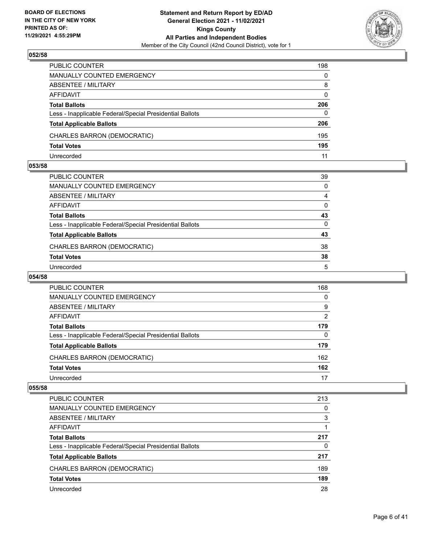

| PUBLIC COUNTER                                           | 198      |
|----------------------------------------------------------|----------|
| <b>MANUALLY COUNTED EMERGENCY</b>                        | $\Omega$ |
| <b>ABSENTEE / MILITARY</b>                               | 8        |
| AFFIDAVIT                                                | $\Omega$ |
| <b>Total Ballots</b>                                     | 206      |
| Less - Inapplicable Federal/Special Presidential Ballots | $\Omega$ |
| <b>Total Applicable Ballots</b>                          | 206      |
| CHARLES BARRON (DEMOCRATIC)                              | 195      |
| <b>Total Votes</b>                                       | 195      |
| Unrecorded                                               | 11       |

#### **053/58**

| PUBLIC COUNTER                                           | 39       |
|----------------------------------------------------------|----------|
| <b>MANUALLY COUNTED EMERGENCY</b>                        | $\Omega$ |
| ABSENTEE / MILITARY                                      | 4        |
| AFFIDAVIT                                                | $\Omega$ |
| <b>Total Ballots</b>                                     | 43       |
| Less - Inapplicable Federal/Special Presidential Ballots | $\Omega$ |
| <b>Total Applicable Ballots</b>                          | 43       |
| CHARLES BARRON (DEMOCRATIC)                              | 38       |
| <b>Total Votes</b>                                       | 38       |
| Unrecorded                                               | 5        |
|                                                          |          |

# **054/58**

| PUBLIC COUNTER                                           | 168           |
|----------------------------------------------------------|---------------|
| MANUALLY COUNTED EMERGENCY                               | 0             |
| ABSENTEE / MILITARY                                      | 9             |
| AFFIDAVIT                                                | $\mathcal{P}$ |
| <b>Total Ballots</b>                                     | 179           |
| Less - Inapplicable Federal/Special Presidential Ballots | 0             |
| <b>Total Applicable Ballots</b>                          | 179           |
| CHARLES BARRON (DEMOCRATIC)                              | 162           |
| <b>Total Votes</b>                                       | 162           |
| Unrecorded                                               | 17            |

| PUBLIC COUNTER                                           | 213 |
|----------------------------------------------------------|-----|
| <b>MANUALLY COUNTED EMERGENCY</b>                        | 0   |
| ABSENTEE / MILITARY                                      | 3   |
| AFFIDAVIT                                                |     |
| <b>Total Ballots</b>                                     | 217 |
| Less - Inapplicable Federal/Special Presidential Ballots | 0   |
| <b>Total Applicable Ballots</b>                          | 217 |
| CHARLES BARRON (DEMOCRATIC)                              | 189 |
| <b>Total Votes</b>                                       | 189 |
| Unrecorded                                               | 28  |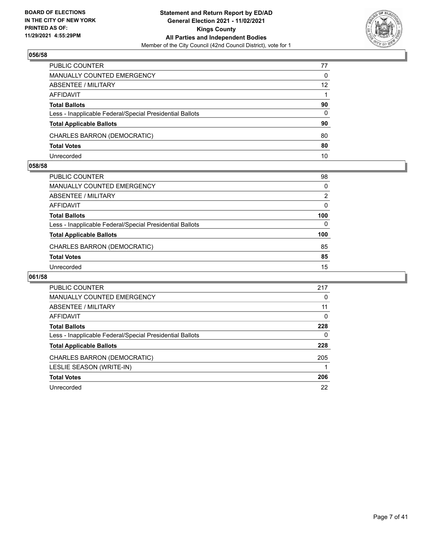

| PUBLIC COUNTER                                           | 77 |
|----------------------------------------------------------|----|
| <b>MANUALLY COUNTED EMERGENCY</b>                        | 0  |
| <b>ABSENTEE / MILITARY</b>                               | 12 |
| AFFIDAVIT                                                |    |
| <b>Total Ballots</b>                                     | 90 |
| Less - Inapplicable Federal/Special Presidential Ballots | 0  |
| <b>Total Applicable Ballots</b>                          | 90 |
| CHARLES BARRON (DEMOCRATIC)                              | 80 |
| <b>Total Votes</b>                                       | 80 |
| Unrecorded                                               | 10 |

#### **058/58**

| PUBLIC COUNTER                                           | 98            |
|----------------------------------------------------------|---------------|
| MANUALLY COUNTED EMERGENCY                               | $\Omega$      |
| ABSENTEE / MILITARY                                      | $\mathcal{P}$ |
| AFFIDAVIT                                                | $\Omega$      |
| <b>Total Ballots</b>                                     | 100           |
| Less - Inapplicable Federal/Special Presidential Ballots | $\Omega$      |
| <b>Total Applicable Ballots</b>                          | 100           |
| CHARLES BARRON (DEMOCRATIC)                              | 85            |
| <b>Total Votes</b>                                       | 85            |
| Unrecorded                                               | 15            |
|                                                          |               |

| <b>PUBLIC COUNTER</b>                                    | 217 |
|----------------------------------------------------------|-----|
| <b>MANUALLY COUNTED EMERGENCY</b>                        | 0   |
| ABSENTEE / MILITARY                                      | 11  |
| <b>AFFIDAVIT</b>                                         | 0   |
| <b>Total Ballots</b>                                     | 228 |
| Less - Inapplicable Federal/Special Presidential Ballots | 0   |
| <b>Total Applicable Ballots</b>                          | 228 |
| CHARLES BARRON (DEMOCRATIC)                              | 205 |
| LESLIE SEASON (WRITE-IN)                                 |     |
| <b>Total Votes</b>                                       | 206 |
| Unrecorded                                               | 22  |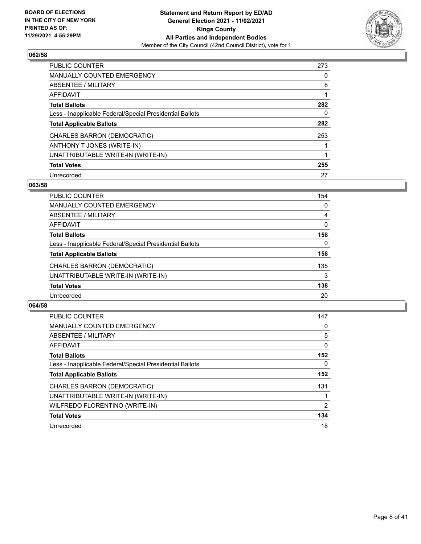

| <b>PUBLIC COUNTER</b>                                    | 273 |
|----------------------------------------------------------|-----|
| <b>MANUALLY COUNTED EMERGENCY</b>                        | 0   |
| ABSENTEE / MILITARY                                      | 8   |
| AFFIDAVIT                                                |     |
| <b>Total Ballots</b>                                     | 282 |
| Less - Inapplicable Federal/Special Presidential Ballots | 0   |
| <b>Total Applicable Ballots</b>                          | 282 |
| CHARLES BARRON (DEMOCRATIC)                              | 253 |
| ANTHONY T JONES (WRITE-IN)                               |     |
| UNATTRIBUTABLE WRITE-IN (WRITE-IN)                       |     |
| <b>Total Votes</b>                                       | 255 |
| Unrecorded                                               | 27  |

### **063/58**

| <b>PUBLIC COUNTER</b>                                    | 154      |
|----------------------------------------------------------|----------|
| MANUALLY COUNTED EMERGENCY                               | 0        |
| ABSENTEE / MILITARY                                      | 4        |
| AFFIDAVIT                                                | $\Omega$ |
| <b>Total Ballots</b>                                     | 158      |
| Less - Inapplicable Federal/Special Presidential Ballots | $\Omega$ |
| <b>Total Applicable Ballots</b>                          | 158      |
| CHARLES BARRON (DEMOCRATIC)                              | 135      |
| UNATTRIBUTABLE WRITE-IN (WRITE-IN)                       | 3        |
| <b>Total Votes</b>                                       | 138      |
| Unrecorded                                               | 20       |

| <b>PUBLIC COUNTER</b>                                    | 147          |
|----------------------------------------------------------|--------------|
| <b>MANUALLY COUNTED EMERGENCY</b>                        | 0            |
| ABSENTEE / MILITARY                                      | 5            |
| <b>AFFIDAVIT</b>                                         | $\mathbf{0}$ |
| <b>Total Ballots</b>                                     | 152          |
| Less - Inapplicable Federal/Special Presidential Ballots | $\Omega$     |
| <b>Total Applicable Ballots</b>                          | 152          |
| CHARLES BARRON (DEMOCRATIC)                              | 131          |
| UNATTRIBUTABLE WRITE-IN (WRITE-IN)                       |              |
| WILFREDO FLORENTINO (WRITE-IN)                           | 2            |
| <b>Total Votes</b>                                       | 134          |
| Unrecorded                                               | 18           |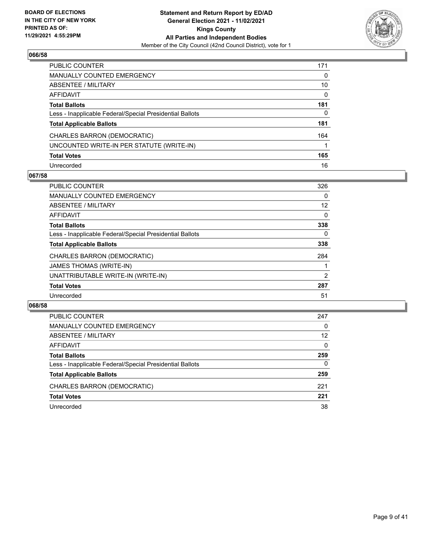

| PUBLIC COUNTER                                           | 171      |
|----------------------------------------------------------|----------|
| <b>MANUALLY COUNTED EMERGENCY</b>                        | 0        |
| <b>ABSENTEE / MILITARY</b>                               | 10       |
| AFFIDAVIT                                                | $\Omega$ |
| <b>Total Ballots</b>                                     | 181      |
| Less - Inapplicable Federal/Special Presidential Ballots | 0        |
| <b>Total Applicable Ballots</b>                          | 181      |
| CHARLES BARRON (DEMOCRATIC)                              | 164      |
| UNCOUNTED WRITE-IN PER STATUTE (WRITE-IN)                |          |
| <b>Total Votes</b>                                       | 165      |
| Unrecorded                                               | 16       |

## **067/58**

| <b>PUBLIC COUNTER</b>                                    | 326      |
|----------------------------------------------------------|----------|
| <b>MANUALLY COUNTED EMERGENCY</b>                        | 0        |
| ABSENTEE / MILITARY                                      | 12       |
| AFFIDAVIT                                                | $\Omega$ |
| <b>Total Ballots</b>                                     | 338      |
| Less - Inapplicable Federal/Special Presidential Ballots | 0        |
| <b>Total Applicable Ballots</b>                          | 338      |
| CHARLES BARRON (DEMOCRATIC)                              | 284      |
| <b>JAMES THOMAS (WRITE-IN)</b>                           |          |
| UNATTRIBUTABLE WRITE-IN (WRITE-IN)                       | 2        |
| <b>Total Votes</b>                                       | 287      |
| Unrecorded                                               | 51       |

| PUBLIC COUNTER                                           | 247      |
|----------------------------------------------------------|----------|
| <b>MANUALLY COUNTED EMERGENCY</b>                        | $\Omega$ |
| ABSENTEE / MILITARY                                      | 12       |
| AFFIDAVIT                                                | $\Omega$ |
| <b>Total Ballots</b>                                     | 259      |
| Less - Inapplicable Federal/Special Presidential Ballots | $\Omega$ |
| <b>Total Applicable Ballots</b>                          | 259      |
| CHARLES BARRON (DEMOCRATIC)                              | 221      |
| <b>Total Votes</b>                                       | 221      |
| Unrecorded                                               | 38       |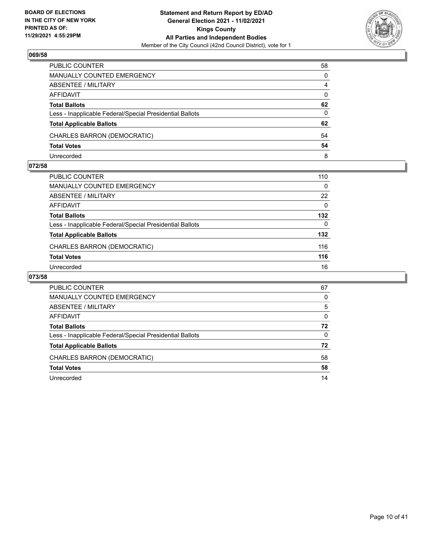

| PUBLIC COUNTER                                           | 58             |
|----------------------------------------------------------|----------------|
| MANUALLY COUNTED EMERGENCY                               | $\Omega$       |
| ABSENTEE / MILITARY                                      | $\overline{4}$ |
| AFFIDAVIT                                                | $\Omega$       |
| <b>Total Ballots</b>                                     | 62             |
| Less - Inapplicable Federal/Special Presidential Ballots | $\Omega$       |
| <b>Total Applicable Ballots</b>                          | 62             |
| CHARLES BARRON (DEMOCRATIC)                              | 54             |
| <b>Total Votes</b>                                       | 54             |
| Unrecorded                                               | 8              |

#### **072/58**

| <b>PUBLIC COUNTER</b>                                    | 110      |
|----------------------------------------------------------|----------|
| MANUALLY COUNTED EMERGENCY                               | $\Omega$ |
| ABSENTEE / MILITARY                                      | 22       |
| AFFIDAVIT                                                | $\Omega$ |
| <b>Total Ballots</b>                                     | 132      |
| Less - Inapplicable Federal/Special Presidential Ballots | $\Omega$ |
| <b>Total Applicable Ballots</b>                          | 132      |
| CHARLES BARRON (DEMOCRATIC)                              | 116      |
| <b>Total Votes</b>                                       | 116      |
| Unrecorded                                               | 16       |
|                                                          |          |

| PUBLIC COUNTER                                           | 67       |
|----------------------------------------------------------|----------|
| <b>MANUALLY COUNTED EMERGENCY</b>                        | 0        |
| ABSENTEE / MILITARY                                      | 5        |
| AFFIDAVIT                                                | $\Omega$ |
| <b>Total Ballots</b>                                     | 72       |
| Less - Inapplicable Federal/Special Presidential Ballots | $\Omega$ |
| <b>Total Applicable Ballots</b>                          | 72       |
| CHARLES BARRON (DEMOCRATIC)                              | 58       |
| <b>Total Votes</b>                                       | 58       |
| Unrecorded                                               | 14       |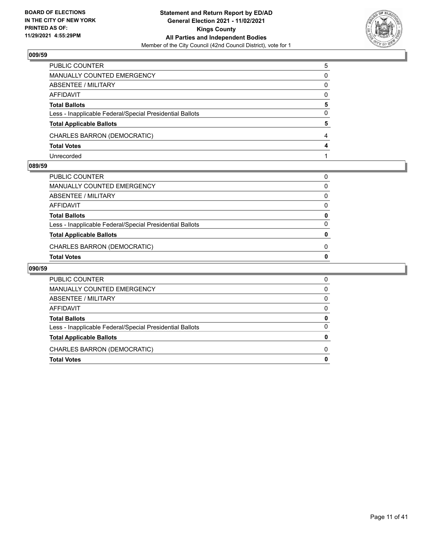

| PUBLIC COUNTER                                           | 5 |
|----------------------------------------------------------|---|
| <b>MANUALLY COUNTED EMERGENCY</b>                        | 0 |
| <b>ABSENTEE / MILITARY</b>                               | 0 |
| AFFIDAVIT                                                | 0 |
| <b>Total Ballots</b>                                     | 5 |
| Less - Inapplicable Federal/Special Presidential Ballots | 0 |
| <b>Total Applicable Ballots</b>                          | 5 |
| CHARLES BARRON (DEMOCRATIC)                              | 4 |
| <b>Total Votes</b>                                       | 4 |
| Unrecorded                                               |   |

## **089/59**

| PUBLIC COUNTER                                           |          |
|----------------------------------------------------------|----------|
| MANUALLY COUNTED EMERGENCY                               | 0        |
| ABSENTEE / MILITARY                                      | 0        |
| AFFIDAVIT                                                | 0        |
| <b>Total Ballots</b>                                     | 0        |
| Less - Inapplicable Federal/Special Presidential Ballots | $\Omega$ |
| <b>Total Applicable Ballots</b>                          | 0        |
| CHARLES BARRON (DEMOCRATIC)                              | 0        |
| Total Votes                                              | 0        |

| PUBLIC COUNTER                                           | 0 |
|----------------------------------------------------------|---|
| MANUALLY COUNTED EMERGENCY                               | 0 |
| ABSENTEE / MILITARY                                      | 0 |
| AFFIDAVIT                                                | 0 |
| <b>Total Ballots</b>                                     |   |
| Less - Inapplicable Federal/Special Presidential Ballots | O |
| <b>Total Applicable Ballots</b>                          |   |
| CHARLES BARRON (DEMOCRATIC)                              | n |
| <b>Total Votes</b>                                       |   |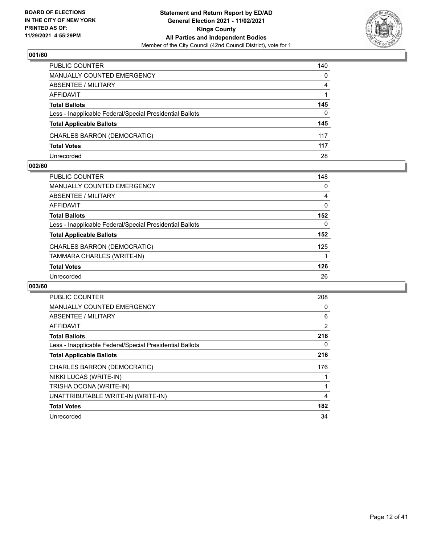

| PUBLIC COUNTER                                           | 140      |
|----------------------------------------------------------|----------|
| <b>MANUALLY COUNTED EMERGENCY</b>                        | $\Omega$ |
| <b>ABSENTEE / MILITARY</b>                               | 4        |
| AFFIDAVIT                                                |          |
| <b>Total Ballots</b>                                     | 145      |
| Less - Inapplicable Federal/Special Presidential Ballots | 0        |
| <b>Total Applicable Ballots</b>                          | 145      |
| CHARLES BARRON (DEMOCRATIC)                              | 117      |
| <b>Total Votes</b>                                       | 117      |
| Unrecorded                                               | 28       |

## **002/60**

| PUBLIC COUNTER                                           | 148 |
|----------------------------------------------------------|-----|
| MANUALLY COUNTED EMERGENCY                               | 0   |
| ABSENTEE / MILITARY                                      | 4   |
| AFFIDAVIT                                                | 0   |
| <b>Total Ballots</b>                                     | 152 |
| Less - Inapplicable Federal/Special Presidential Ballots | 0   |
| <b>Total Applicable Ballots</b>                          | 152 |
| CHARLES BARRON (DEMOCRATIC)                              | 125 |
| TAMMARA CHARLES (WRITE-IN)                               |     |
| <b>Total Votes</b>                                       | 126 |
| Unrecorded                                               | 26  |
|                                                          |     |

| PUBLIC COUNTER                                           | 208 |
|----------------------------------------------------------|-----|
| <b>MANUALLY COUNTED EMERGENCY</b>                        | 0   |
| ABSENTEE / MILITARY                                      | 6   |
| AFFIDAVIT                                                | 2   |
| <b>Total Ballots</b>                                     | 216 |
| Less - Inapplicable Federal/Special Presidential Ballots | 0   |
| <b>Total Applicable Ballots</b>                          | 216 |
| CHARLES BARRON (DEMOCRATIC)                              | 176 |
| NIKKI LUCAS (WRITE-IN)                                   |     |
| TRISHA OCONA (WRITE-IN)                                  |     |
| UNATTRIBUTABLE WRITE-IN (WRITE-IN)                       | 4   |
| <b>Total Votes</b>                                       | 182 |
| Unrecorded                                               | 34  |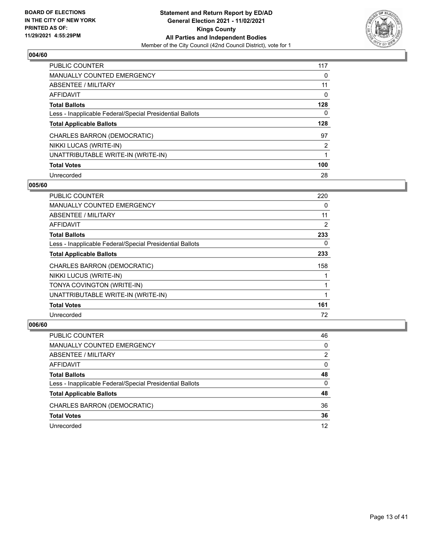

| <b>PUBLIC COUNTER</b>                                    | 117      |
|----------------------------------------------------------|----------|
| <b>MANUALLY COUNTED EMERGENCY</b>                        | 0        |
| ABSENTEE / MILITARY                                      | 11       |
| AFFIDAVIT                                                | $\Omega$ |
| <b>Total Ballots</b>                                     | 128      |
| Less - Inapplicable Federal/Special Presidential Ballots | 0        |
| <b>Total Applicable Ballots</b>                          | 128      |
| CHARLES BARRON (DEMOCRATIC)                              | 97       |
| NIKKI LUCAS (WRITE-IN)                                   | 2        |
| UNATTRIBUTABLE WRITE-IN (WRITE-IN)                       |          |
| <b>Total Votes</b>                                       | 100      |
|                                                          |          |

#### **005/60**

| <b>PUBLIC COUNTER</b>                                    | 220 |
|----------------------------------------------------------|-----|
| MANUALLY COUNTED EMERGENCY                               | 0   |
| ABSENTEE / MILITARY                                      | 11  |
| <b>AFFIDAVIT</b>                                         | 2   |
| <b>Total Ballots</b>                                     | 233 |
| Less - Inapplicable Federal/Special Presidential Ballots | 0   |
| <b>Total Applicable Ballots</b>                          | 233 |
| CHARLES BARRON (DEMOCRATIC)                              | 158 |
| NIKKI LUCUS (WRITE-IN)                                   |     |
| TONYA COVINGTON (WRITE-IN)                               |     |
| UNATTRIBUTABLE WRITE-IN (WRITE-IN)                       |     |
| <b>Total Votes</b>                                       | 161 |
| Unrecorded                                               | 72  |

| PUBLIC COUNTER                                           | 46       |
|----------------------------------------------------------|----------|
| MANUALLY COUNTED EMERGENCY                               | $\Omega$ |
| ABSENTEE / MILITARY                                      | 2        |
| AFFIDAVIT                                                | $\Omega$ |
| <b>Total Ballots</b>                                     | 48       |
| Less - Inapplicable Federal/Special Presidential Ballots | 0        |
| <b>Total Applicable Ballots</b>                          | 48       |
| CHARLES BARRON (DEMOCRATIC)                              | 36       |
| <b>Total Votes</b>                                       | 36       |
| Unrecorded                                               | 12       |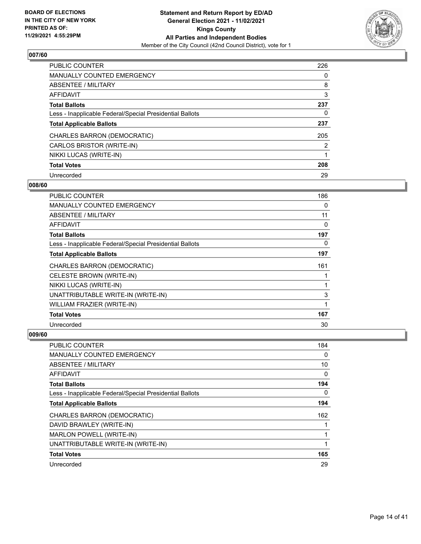

| <b>PUBLIC COUNTER</b>                                    | 226            |
|----------------------------------------------------------|----------------|
| <b>MANUALLY COUNTED EMERGENCY</b>                        | 0              |
| ABSENTEE / MILITARY                                      | 8              |
| AFFIDAVIT                                                | 3              |
| <b>Total Ballots</b>                                     | 237            |
| Less - Inapplicable Federal/Special Presidential Ballots | 0              |
| <b>Total Applicable Ballots</b>                          | 237            |
| CHARLES BARRON (DEMOCRATIC)                              | 205            |
| CARLOS BRISTOR (WRITE-IN)                                | $\overline{2}$ |
| NIKKI LUCAS (WRITE-IN)                                   |                |
| <b>Total Votes</b>                                       | 208            |
| Unrecorded                                               | 29             |

#### **008/60**

| PUBLIC COUNTER                                           | 186 |
|----------------------------------------------------------|-----|
| <b>MANUALLY COUNTED EMERGENCY</b>                        | 0   |
| ABSENTEE / MILITARY                                      | 11  |
| <b>AFFIDAVIT</b>                                         | 0   |
| <b>Total Ballots</b>                                     | 197 |
| Less - Inapplicable Federal/Special Presidential Ballots | 0   |
| <b>Total Applicable Ballots</b>                          | 197 |
| <b>CHARLES BARRON (DEMOCRATIC)</b>                       | 161 |
| CELESTE BROWN (WRITE-IN)                                 |     |
| NIKKI LUCAS (WRITE-IN)                                   |     |
| UNATTRIBUTABLE WRITE-IN (WRITE-IN)                       | 3   |
| WILLIAM FRAZIER (WRITE-IN)                               | 1   |
| <b>Total Votes</b>                                       | 167 |
| Unrecorded                                               | 30  |

| PUBLIC COUNTER                                           | 184 |
|----------------------------------------------------------|-----|
| MANUALLY COUNTED EMERGENCY                               | 0   |
| ABSENTEE / MILITARY                                      | 10  |
| AFFIDAVIT                                                | 0   |
| <b>Total Ballots</b>                                     | 194 |
| Less - Inapplicable Federal/Special Presidential Ballots | 0   |
| <b>Total Applicable Ballots</b>                          | 194 |
| CHARLES BARRON (DEMOCRATIC)                              | 162 |
| DAVID BRAWLEY (WRITE-IN)                                 |     |
| MARLON POWELL (WRITE-IN)                                 | 1   |
| UNATTRIBUTABLE WRITE-IN (WRITE-IN)                       | 1   |
| <b>Total Votes</b>                                       | 165 |
| Unrecorded                                               | 29  |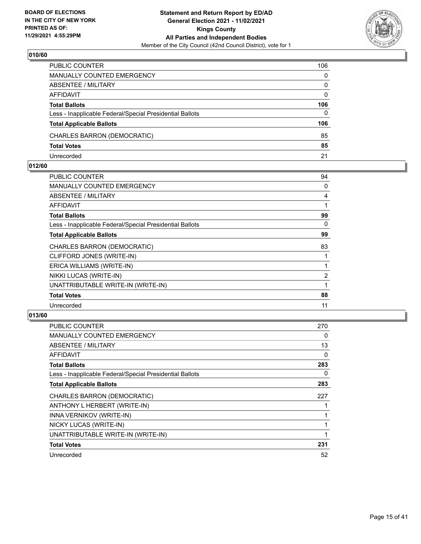

| PUBLIC COUNTER                                           | 106          |
|----------------------------------------------------------|--------------|
| <b>MANUALLY COUNTED EMERGENCY</b>                        | $\Omega$     |
| <b>ABSENTEE / MILITARY</b>                               | $\mathbf{0}$ |
| AFFIDAVIT                                                | $\Omega$     |
| <b>Total Ballots</b>                                     | 106          |
| Less - Inapplicable Federal/Special Presidential Ballots | $\mathbf{0}$ |
| <b>Total Applicable Ballots</b>                          | 106          |
| CHARLES BARRON (DEMOCRATIC)                              | 85           |
| <b>Total Votes</b>                                       | 85           |
| Unrecorded                                               | 21           |

#### **012/60**

| PUBLIC COUNTER                                           | 94             |
|----------------------------------------------------------|----------------|
| <b>MANUALLY COUNTED EMERGENCY</b>                        | 0              |
| ABSENTEE / MILITARY                                      | 4              |
| AFFIDAVIT                                                | 1              |
| <b>Total Ballots</b>                                     | 99             |
| Less - Inapplicable Federal/Special Presidential Ballots | 0              |
| <b>Total Applicable Ballots</b>                          | 99             |
| <b>CHARLES BARRON (DEMOCRATIC)</b>                       | 83             |
| CLIFFORD JONES (WRITE-IN)                                |                |
| ERICA WILLIAMS (WRITE-IN)                                |                |
| NIKKI LUCAS (WRITE-IN)                                   | $\overline{2}$ |
| UNATTRIBUTABLE WRITE-IN (WRITE-IN)                       | 1              |
| <b>Total Votes</b>                                       | 88             |
| Unrecorded                                               | 11             |

| <b>PUBLIC COUNTER</b>                                    | 270 |
|----------------------------------------------------------|-----|
| <b>MANUALLY COUNTED EMERGENCY</b>                        | 0   |
| ABSENTEE / MILITARY                                      | 13  |
| AFFIDAVIT                                                | 0   |
| <b>Total Ballots</b>                                     | 283 |
| Less - Inapplicable Federal/Special Presidential Ballots | 0   |
| <b>Total Applicable Ballots</b>                          | 283 |
| CHARLES BARRON (DEMOCRATIC)                              | 227 |
| ANTHONY L HERBERT (WRITE-IN)                             |     |
| INNA VERNIKOV (WRITE-IN)                                 |     |
| NICKY LUCAS (WRITE-IN)                                   |     |
| UNATTRIBUTABLE WRITE-IN (WRITE-IN)                       | 1   |
| <b>Total Votes</b>                                       | 231 |
| Unrecorded                                               | 52  |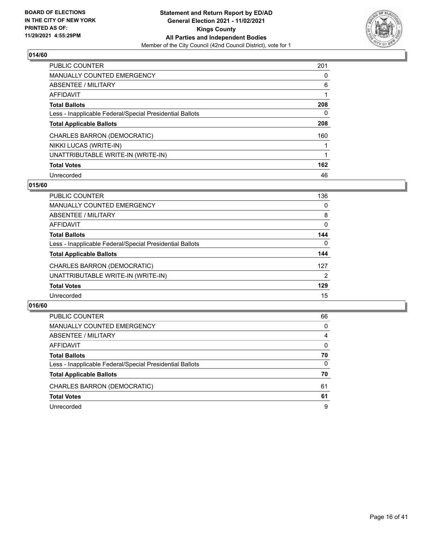

| <b>PUBLIC COUNTER</b>                                    | 201 |
|----------------------------------------------------------|-----|
| <b>MANUALLY COUNTED EMERGENCY</b>                        | 0   |
| ABSENTEE / MILITARY                                      | 6   |
| AFFIDAVIT                                                |     |
| <b>Total Ballots</b>                                     | 208 |
| Less - Inapplicable Federal/Special Presidential Ballots | 0   |
| <b>Total Applicable Ballots</b>                          | 208 |
| CHARLES BARRON (DEMOCRATIC)                              | 160 |
| NIKKI LUCAS (WRITE-IN)                                   |     |
| UNATTRIBUTABLE WRITE-IN (WRITE-IN)                       |     |
| <b>Total Votes</b>                                       | 162 |
| Unrecorded                                               | 46  |

## **015/60**

| <b>PUBLIC COUNTER</b>                                    | 136      |
|----------------------------------------------------------|----------|
| <b>MANUALLY COUNTED EMERGENCY</b>                        | 0        |
| ABSENTEE / MILITARY                                      | 8        |
| AFFIDAVIT                                                | 0        |
| <b>Total Ballots</b>                                     | 144      |
| Less - Inapplicable Federal/Special Presidential Ballots | $\Omega$ |
| <b>Total Applicable Ballots</b>                          | 144      |
| CHARLES BARRON (DEMOCRATIC)                              | 127      |
| UNATTRIBUTABLE WRITE-IN (WRITE-IN)                       | 2        |
| <b>Total Votes</b>                                       | 129      |
| Unrecorded                                               | 15       |

| PUBLIC COUNTER                                           | 66       |
|----------------------------------------------------------|----------|
| MANUALLY COUNTED EMERGENCY                               | $\Omega$ |
| ABSENTEE / MILITARY                                      | 4        |
| AFFIDAVIT                                                | 0        |
| <b>Total Ballots</b>                                     | 70       |
| Less - Inapplicable Federal/Special Presidential Ballots | $\Omega$ |
| <b>Total Applicable Ballots</b>                          | 70       |
| CHARLES BARRON (DEMOCRATIC)                              | 61       |
| <b>Total Votes</b>                                       | 61       |
| Unrecorded                                               | 9        |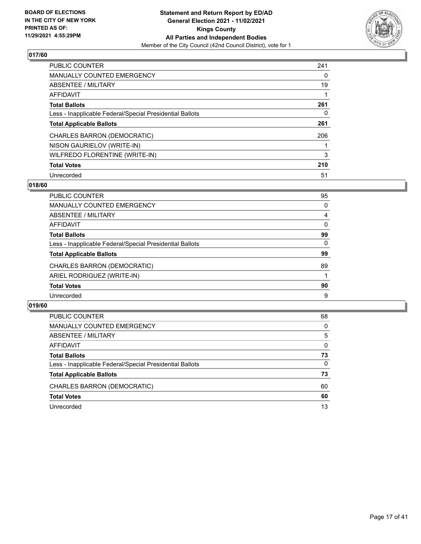

| <b>PUBLIC COUNTER</b>                                    | 241 |
|----------------------------------------------------------|-----|
| <b>MANUALLY COUNTED EMERGENCY</b>                        | 0   |
| ABSENTEE / MILITARY                                      | 19  |
| <b>AFFIDAVIT</b>                                         |     |
| <b>Total Ballots</b>                                     | 261 |
| Less - Inapplicable Federal/Special Presidential Ballots | 0   |
| <b>Total Applicable Ballots</b>                          | 261 |
| CHARLES BARRON (DEMOCRATIC)                              | 206 |
| NISON GAURIELOV (WRITE-IN)                               |     |
| WILFREDO FLORENTINE (WRITE-IN)                           | 3   |
| <b>Total Votes</b>                                       | 210 |
| Unrecorded                                               | 51  |

### **018/60**

| <b>PUBLIC COUNTER</b>                                    | 95       |
|----------------------------------------------------------|----------|
| <b>MANUALLY COUNTED EMERGENCY</b>                        | 0        |
| ABSENTEE / MILITARY                                      | 4        |
| <b>AFFIDAVIT</b>                                         | $\Omega$ |
| <b>Total Ballots</b>                                     | 99       |
| Less - Inapplicable Federal/Special Presidential Ballots | 0        |
| <b>Total Applicable Ballots</b>                          | 99       |
| CHARLES BARRON (DEMOCRATIC)                              | 89       |
| ARIEL RODRIGUEZ (WRITE-IN)                               |          |
| <b>Total Votes</b>                                       | 90       |
| Unrecorded                                               | 9        |

| PUBLIC COUNTER                                           | 68       |
|----------------------------------------------------------|----------|
| MANUALLY COUNTED EMERGENCY                               | $\Omega$ |
| <b>ABSENTEE / MILITARY</b>                               | 5        |
| AFFIDAVIT                                                | $\Omega$ |
| <b>Total Ballots</b>                                     | 73       |
| Less - Inapplicable Federal/Special Presidential Ballots | $\Omega$ |
| <b>Total Applicable Ballots</b>                          | 73       |
| CHARLES BARRON (DEMOCRATIC)                              | 60       |
| <b>Total Votes</b>                                       | 60       |
| Unrecorded                                               | 13       |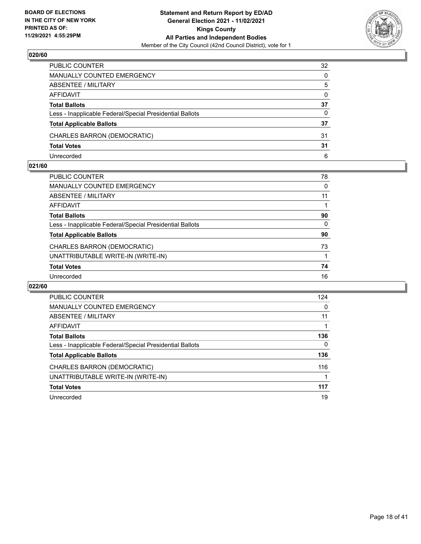

| PUBLIC COUNTER                                           | 32       |
|----------------------------------------------------------|----------|
| <b>MANUALLY COUNTED EMERGENCY</b>                        | $\Omega$ |
| <b>ABSENTEE / MILITARY</b>                               | 5        |
| AFFIDAVIT                                                | $\Omega$ |
| <b>Total Ballots</b>                                     | 37       |
| Less - Inapplicable Federal/Special Presidential Ballots | 0        |
| <b>Total Applicable Ballots</b>                          | 37       |
| CHARLES BARRON (DEMOCRATIC)                              | 31       |
| <b>Total Votes</b>                                       | 31       |
| Unrecorded                                               | 6        |

#### **021/60**

| PUBLIC COUNTER                                           | 78       |
|----------------------------------------------------------|----------|
| <b>MANUALLY COUNTED EMERGENCY</b>                        | 0        |
| ABSENTEE / MILITARY                                      | 11       |
| AFFIDAVIT                                                |          |
| <b>Total Ballots</b>                                     | 90       |
| Less - Inapplicable Federal/Special Presidential Ballots | $\Omega$ |
| <b>Total Applicable Ballots</b>                          | 90       |
| CHARLES BARRON (DEMOCRATIC)                              | 73       |
| UNATTRIBUTABLE WRITE-IN (WRITE-IN)                       |          |
| <b>Total Votes</b>                                       | 74       |
| Unrecorded                                               | 16       |
|                                                          |          |

| PUBLIC COUNTER                                           | 124      |
|----------------------------------------------------------|----------|
| MANUALLY COUNTED EMERGENCY                               | $\Omega$ |
| ABSENTEE / MILITARY                                      | 11       |
| <b>AFFIDAVIT</b>                                         |          |
| <b>Total Ballots</b>                                     | 136      |
| Less - Inapplicable Federal/Special Presidential Ballots | 0        |
| <b>Total Applicable Ballots</b>                          | 136      |
| CHARLES BARRON (DEMOCRATIC)                              | 116      |
| UNATTRIBUTABLE WRITE-IN (WRITE-IN)                       |          |
| <b>Total Votes</b>                                       | 117      |
| Unrecorded                                               | 19       |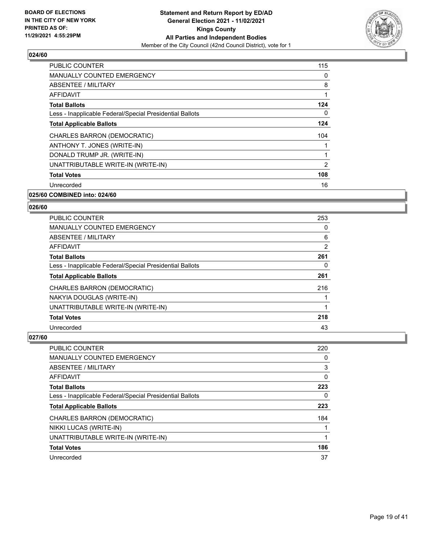

| <b>PUBLIC COUNTER</b>                                    | 115 |
|----------------------------------------------------------|-----|
| MANUALLY COUNTED EMERGENCY                               | 0   |
| ABSENTEE / MILITARY                                      | 8   |
| AFFIDAVIT                                                |     |
| <b>Total Ballots</b>                                     | 124 |
| Less - Inapplicable Federal/Special Presidential Ballots | 0   |
| <b>Total Applicable Ballots</b>                          | 124 |
| CHARLES BARRON (DEMOCRATIC)                              | 104 |
| ANTHONY T. JONES (WRITE-IN)                              |     |
| DONALD TRUMP JR. (WRITE-IN)                              |     |
| UNATTRIBUTABLE WRITE-IN (WRITE-IN)                       | 2   |
| <b>Total Votes</b>                                       | 108 |
| Unrecorded                                               | 16  |
| 025/60 COMBINED into: 024/60                             |     |

# **026/60**

| <b>PUBLIC COUNTER</b>                                    | 253 |
|----------------------------------------------------------|-----|
| <b>MANUALLY COUNTED EMERGENCY</b>                        | 0   |
| ABSENTEE / MILITARY                                      | 6   |
| <b>AFFIDAVIT</b>                                         | 2   |
| <b>Total Ballots</b>                                     | 261 |
| Less - Inapplicable Federal/Special Presidential Ballots | 0   |
| <b>Total Applicable Ballots</b>                          | 261 |
| CHARLES BARRON (DEMOCRATIC)                              | 216 |
| NAKYIA DOUGLAS (WRITE-IN)                                |     |
| UNATTRIBUTABLE WRITE-IN (WRITE-IN)                       |     |
| <b>Total Votes</b>                                       | 218 |
| Unrecorded                                               | 43  |

| PUBLIC COUNTER                                           | 220 |
|----------------------------------------------------------|-----|
| <b>MANUALLY COUNTED EMERGENCY</b>                        | 0   |
| ABSENTEE / MILITARY                                      | 3   |
| AFFIDAVIT                                                | 0   |
| <b>Total Ballots</b>                                     | 223 |
| Less - Inapplicable Federal/Special Presidential Ballots | 0   |
| <b>Total Applicable Ballots</b>                          | 223 |
| CHARLES BARRON (DEMOCRATIC)                              | 184 |
| NIKKI LUCAS (WRITE-IN)                                   |     |
| UNATTRIBUTABLE WRITE-IN (WRITE-IN)                       |     |
| <b>Total Votes</b>                                       | 186 |
| Unrecorded                                               | 37  |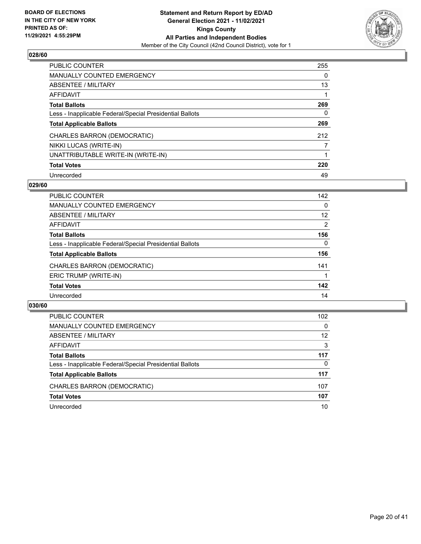

| PUBLIC COUNTER                                           | 255 |
|----------------------------------------------------------|-----|
| <b>MANUALLY COUNTED EMERGENCY</b>                        | 0   |
| ABSENTEE / MILITARY                                      | 13  |
| AFFIDAVIT                                                |     |
| <b>Total Ballots</b>                                     | 269 |
| Less - Inapplicable Federal/Special Presidential Ballots | 0   |
| <b>Total Applicable Ballots</b>                          | 269 |
| CHARLES BARRON (DEMOCRATIC)                              | 212 |
| NIKKI LUCAS (WRITE-IN)                                   |     |
| UNATTRIBUTABLE WRITE-IN (WRITE-IN)                       |     |
| <b>Total Votes</b>                                       | 220 |
| Unrecorded                                               | 49  |

#### **029/60**

| <b>PUBLIC COUNTER</b>                                    | 142      |
|----------------------------------------------------------|----------|
| <b>MANUALLY COUNTED EMERGENCY</b>                        | 0        |
| ABSENTEE / MILITARY                                      | 12       |
| <b>AFFIDAVIT</b>                                         | 2        |
| <b>Total Ballots</b>                                     | 156      |
| Less - Inapplicable Federal/Special Presidential Ballots | $\Omega$ |
| <b>Total Applicable Ballots</b>                          | 156      |
| CHARLES BARRON (DEMOCRATIC)                              | 141      |
| ERIC TRUMP (WRITE-IN)                                    |          |
| <b>Total Votes</b>                                       | 142      |
| Unrecorded                                               | 14       |

| PUBLIC COUNTER                                           | 102      |
|----------------------------------------------------------|----------|
| <b>MANUALLY COUNTED EMERGENCY</b>                        | $\Omega$ |
| ABSENTEE / MILITARY                                      | 12       |
| AFFIDAVIT                                                | 3        |
| <b>Total Ballots</b>                                     | 117      |
| Less - Inapplicable Federal/Special Presidential Ballots | 0        |
| <b>Total Applicable Ballots</b>                          | 117      |
| CHARLES BARRON (DEMOCRATIC)                              | 107      |
| <b>Total Votes</b>                                       | 107      |
| Unrecorded                                               | 10       |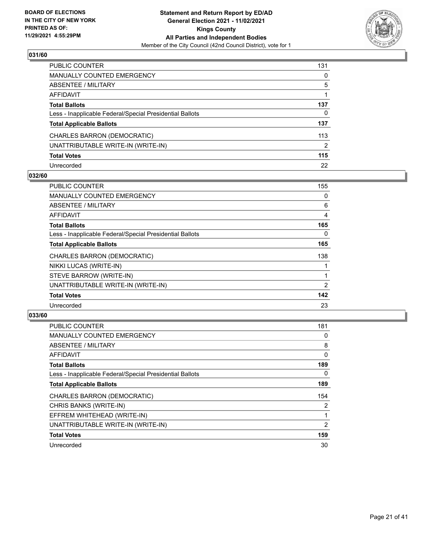

| PUBLIC COUNTER                                           | 131 |
|----------------------------------------------------------|-----|
| <b>MANUALLY COUNTED EMERGENCY</b>                        | 0   |
| ABSENTEE / MILITARY                                      | 5   |
| AFFIDAVIT                                                |     |
| <b>Total Ballots</b>                                     | 137 |
| Less - Inapplicable Federal/Special Presidential Ballots | 0   |
| <b>Total Applicable Ballots</b>                          | 137 |
| CHARLES BARRON (DEMOCRATIC)                              | 113 |
| UNATTRIBUTABLE WRITE-IN (WRITE-IN)                       | 2   |
| <b>Total Votes</b>                                       | 115 |
| Unrecorded                                               | 22  |

## **032/60**

| <b>PUBLIC COUNTER</b>                                    | 155      |
|----------------------------------------------------------|----------|
| <b>MANUALLY COUNTED EMERGENCY</b>                        | $\Omega$ |
| ABSENTEE / MILITARY                                      | 6        |
| AFFIDAVIT                                                | 4        |
| <b>Total Ballots</b>                                     | 165      |
| Less - Inapplicable Federal/Special Presidential Ballots | 0        |
| <b>Total Applicable Ballots</b>                          | 165      |
| CHARLES BARRON (DEMOCRATIC)                              | 138      |
| NIKKI LUCAS (WRITE-IN)                                   |          |
| STEVE BARROW (WRITE-IN)                                  |          |
| UNATTRIBUTABLE WRITE-IN (WRITE-IN)                       | 2        |
| <b>Total Votes</b>                                       | 142      |
| Unrecorded                                               | 23       |

| <b>PUBLIC COUNTER</b>                                    | 181 |
|----------------------------------------------------------|-----|
| <b>MANUALLY COUNTED EMERGENCY</b>                        | 0   |
| <b>ABSENTEE / MILITARY</b>                               | 8   |
| <b>AFFIDAVIT</b>                                         | 0   |
| <b>Total Ballots</b>                                     | 189 |
| Less - Inapplicable Federal/Special Presidential Ballots | 0   |
| <b>Total Applicable Ballots</b>                          | 189 |
| CHARLES BARRON (DEMOCRATIC)                              | 154 |
| CHRIS BANKS (WRITE-IN)                                   | 2   |
| EFFREM WHITEHEAD (WRITE-IN)                              | 1   |
| UNATTRIBUTABLE WRITE-IN (WRITE-IN)                       | 2   |
| <b>Total Votes</b>                                       | 159 |
| Unrecorded                                               | 30  |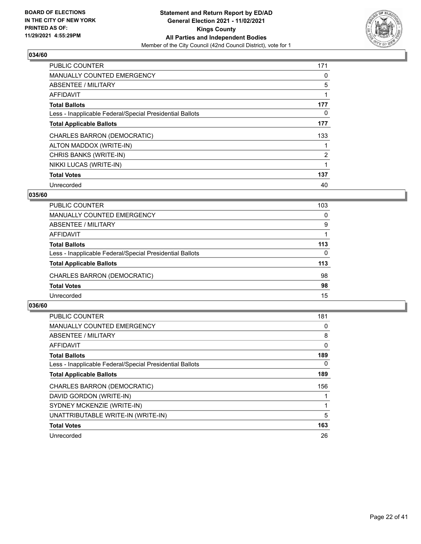

| <b>PUBLIC COUNTER</b>                                    | 171            |
|----------------------------------------------------------|----------------|
| <b>MANUALLY COUNTED EMERGENCY</b>                        | 0              |
| ABSENTEE / MILITARY                                      | 5              |
| AFFIDAVIT                                                |                |
| <b>Total Ballots</b>                                     | 177            |
| Less - Inapplicable Federal/Special Presidential Ballots | 0              |
| <b>Total Applicable Ballots</b>                          | 177            |
| CHARLES BARRON (DEMOCRATIC)                              | 133            |
| ALTON MADDOX (WRITE-IN)                                  |                |
| CHRIS BANKS (WRITE-IN)                                   | $\overline{2}$ |
| NIKKI LUCAS (WRITE-IN)                                   |                |
| <b>Total Votes</b>                                       | 137            |
| Unrecorded                                               | 40             |

## **035/60**

| <b>PUBLIC COUNTER</b>                                    | 103      |
|----------------------------------------------------------|----------|
| MANUALLY COUNTED EMERGENCY                               | 0        |
| ABSENTEE / MILITARY                                      | 9        |
| AFFIDAVIT                                                |          |
| <b>Total Ballots</b>                                     | 113      |
| Less - Inapplicable Federal/Special Presidential Ballots | $\Omega$ |
| <b>Total Applicable Ballots</b>                          | 113      |
| CHARLES BARRON (DEMOCRATIC)                              | 98       |
| <b>Total Votes</b>                                       | 98       |
| Unrecorded                                               | 15       |

| <b>PUBLIC COUNTER</b>                                    | 181 |
|----------------------------------------------------------|-----|
| <b>MANUALLY COUNTED EMERGENCY</b>                        | 0   |
| ABSENTEE / MILITARY                                      | 8   |
| <b>AFFIDAVIT</b>                                         | 0   |
| <b>Total Ballots</b>                                     | 189 |
| Less - Inapplicable Federal/Special Presidential Ballots | 0   |
| <b>Total Applicable Ballots</b>                          | 189 |
| CHARLES BARRON (DEMOCRATIC)                              | 156 |
| DAVID GORDON (WRITE-IN)                                  |     |
| SYDNEY MCKENZIE (WRITE-IN)                               |     |
| UNATTRIBUTABLE WRITE-IN (WRITE-IN)                       | 5   |
| <b>Total Votes</b>                                       | 163 |
| Unrecorded                                               | 26  |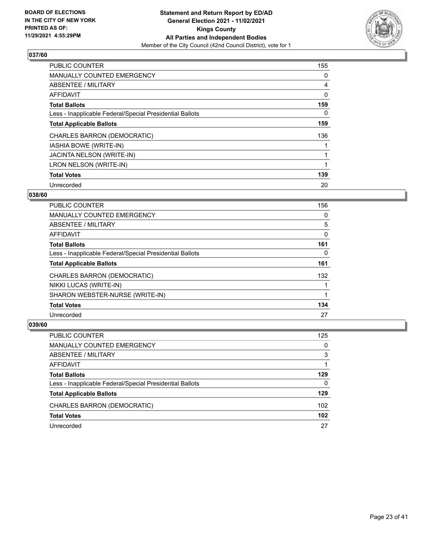

| <b>PUBLIC COUNTER</b>                                    | 155 |
|----------------------------------------------------------|-----|
| <b>MANUALLY COUNTED EMERGENCY</b>                        | 0   |
| ABSENTEE / MILITARY                                      | 4   |
| <b>AFFIDAVIT</b>                                         | 0   |
| <b>Total Ballots</b>                                     | 159 |
| Less - Inapplicable Federal/Special Presidential Ballots | 0   |
| <b>Total Applicable Ballots</b>                          | 159 |
| CHARLES BARRON (DEMOCRATIC)                              | 136 |
| IASHIA BOWE (WRITE-IN)                                   |     |
| <b>JACINTA NELSON (WRITE-IN)</b>                         |     |
| LRON NELSON (WRITE-IN)                                   |     |
| <b>Total Votes</b>                                       | 139 |
| Unrecorded                                               | 20  |

## **038/60**

| <b>PUBLIC COUNTER</b>                                    | 156 |
|----------------------------------------------------------|-----|
| <b>MANUALLY COUNTED EMERGENCY</b>                        | 0   |
| ABSENTEE / MILITARY                                      | 5   |
| AFFIDAVIT                                                | 0   |
| <b>Total Ballots</b>                                     | 161 |
| Less - Inapplicable Federal/Special Presidential Ballots | 0   |
| <b>Total Applicable Ballots</b>                          | 161 |
| CHARLES BARRON (DEMOCRATIC)                              | 132 |
| NIKKI LUCAS (WRITE-IN)                                   |     |
| SHARON WEBSTER-NURSE (WRITE-IN)                          |     |
| <b>Total Votes</b>                                       | 134 |
| Unrecorded                                               | 27  |

| PUBLIC COUNTER                                           | 125 |
|----------------------------------------------------------|-----|
| <b>MANUALLY COUNTED EMERGENCY</b>                        | 0   |
| ABSENTEE / MILITARY                                      | 3   |
| AFFIDAVIT                                                |     |
| <b>Total Ballots</b>                                     | 129 |
| Less - Inapplicable Federal/Special Presidential Ballots | 0   |
| <b>Total Applicable Ballots</b>                          | 129 |
| CHARLES BARRON (DEMOCRATIC)                              | 102 |
| <b>Total Votes</b>                                       | 102 |
| Unrecorded                                               | 27  |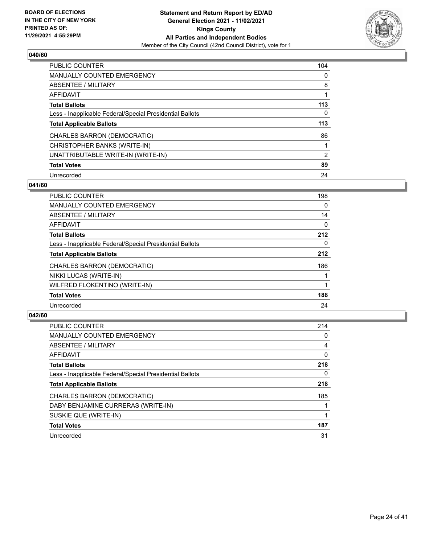

| <b>PUBLIC COUNTER</b>                                    | 104            |
|----------------------------------------------------------|----------------|
| <b>MANUALLY COUNTED EMERGENCY</b>                        | $\Omega$       |
| ABSENTEE / MILITARY                                      | 8              |
| AFFIDAVIT                                                |                |
| <b>Total Ballots</b>                                     | 113            |
| Less - Inapplicable Federal/Special Presidential Ballots | 0              |
| <b>Total Applicable Ballots</b>                          | 113            |
| CHARLES BARRON (DEMOCRATIC)                              | 86             |
| CHRISTOPHER BANKS (WRITE-IN)                             |                |
| UNATTRIBUTABLE WRITE-IN (WRITE-IN)                       | $\overline{2}$ |
| <b>Total Votes</b>                                       | 89             |
| Unrecorded                                               | 24             |

#### **041/60**

| <b>PUBLIC COUNTER</b>                                    | 198      |
|----------------------------------------------------------|----------|
| <b>MANUALLY COUNTED EMERGENCY</b>                        | $\Omega$ |
| ABSENTEE / MILITARY                                      | 14       |
| <b>AFFIDAVIT</b>                                         | $\Omega$ |
| <b>Total Ballots</b>                                     | 212      |
| Less - Inapplicable Federal/Special Presidential Ballots | $\Omega$ |
| <b>Total Applicable Ballots</b>                          | 212      |
| CHARLES BARRON (DEMOCRATIC)                              | 186      |
| NIKKI LUCAS (WRITE-IN)                                   |          |
| WILFRED FLOKENTINO (WRITE-IN)                            |          |
| <b>Total Votes</b>                                       | 188      |
| Unrecorded                                               | 24       |

| <b>PUBLIC COUNTER</b>                                    | 214 |
|----------------------------------------------------------|-----|
| <b>MANUALLY COUNTED EMERGENCY</b>                        | 0   |
| ABSENTEE / MILITARY                                      | 4   |
| <b>AFFIDAVIT</b>                                         | 0   |
| <b>Total Ballots</b>                                     | 218 |
| Less - Inapplicable Federal/Special Presidential Ballots | 0   |
| <b>Total Applicable Ballots</b>                          | 218 |
| CHARLES BARRON (DEMOCRATIC)                              | 185 |
| DABY BENJAMINE CURRERAS (WRITE-IN)                       |     |
| SUSKIE QUE (WRITE-IN)                                    |     |
| <b>Total Votes</b>                                       | 187 |
| Unrecorded                                               | 31  |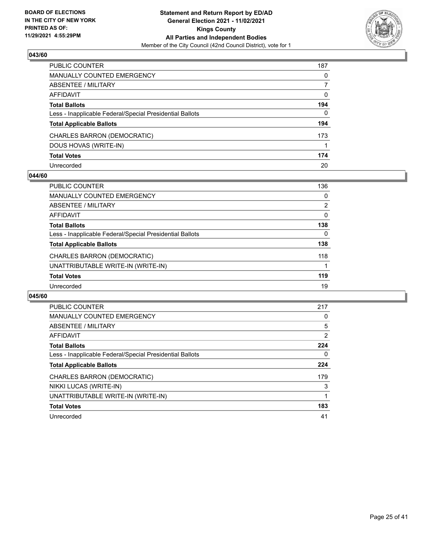

| PUBLIC COUNTER                                           | 187          |
|----------------------------------------------------------|--------------|
| <b>MANUALLY COUNTED EMERGENCY</b>                        | 0            |
| ABSENTEE / MILITARY                                      | 7            |
| AFFIDAVIT                                                | $\mathbf{0}$ |
| <b>Total Ballots</b>                                     | 194          |
| Less - Inapplicable Federal/Special Presidential Ballots | $\Omega$     |
| <b>Total Applicable Ballots</b>                          | 194          |
| CHARLES BARRON (DEMOCRATIC)                              | 173          |
| DOUS HOVAS (WRITE-IN)                                    |              |
| <b>Total Votes</b>                                       | 174          |
| Unrecorded                                               | 20           |

#### **044/60**

| PUBLIC COUNTER                                           | 136      |
|----------------------------------------------------------|----------|
| <b>MANUALLY COUNTED EMERGENCY</b>                        | $\Omega$ |
| ABSENTEE / MILITARY                                      | 2        |
| AFFIDAVIT                                                | 0        |
| <b>Total Ballots</b>                                     | 138      |
| Less - Inapplicable Federal/Special Presidential Ballots | 0        |
| <b>Total Applicable Ballots</b>                          | 138      |
| CHARLES BARRON (DEMOCRATIC)                              | 118      |
| UNATTRIBUTABLE WRITE-IN (WRITE-IN)                       |          |
| <b>Total Votes</b>                                       | 119      |
| Unrecorded                                               | 19       |

| <b>PUBLIC COUNTER</b>                                    | 217 |
|----------------------------------------------------------|-----|
| <b>MANUALLY COUNTED EMERGENCY</b>                        | 0   |
| ABSENTEE / MILITARY                                      | 5   |
| AFFIDAVIT                                                | 2   |
| <b>Total Ballots</b>                                     | 224 |
| Less - Inapplicable Federal/Special Presidential Ballots | 0   |
| <b>Total Applicable Ballots</b>                          | 224 |
| CHARLES BARRON (DEMOCRATIC)                              | 179 |
| NIKKI LUCAS (WRITE-IN)                                   | 3   |
| UNATTRIBUTABLE WRITE-IN (WRITE-IN)                       |     |
| <b>Total Votes</b>                                       | 183 |
| Unrecorded                                               | 41  |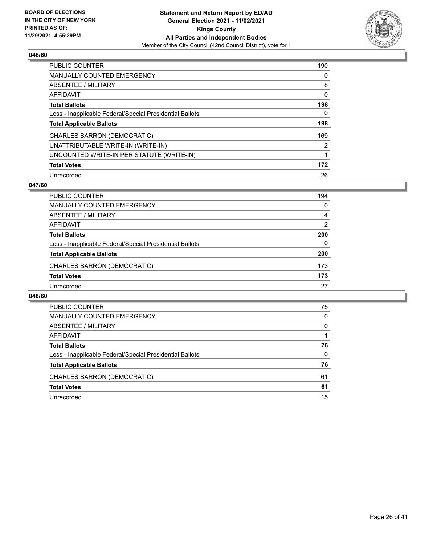

| <b>PUBLIC COUNTER</b>                                    | 190      |
|----------------------------------------------------------|----------|
| <b>MANUALLY COUNTED EMERGENCY</b>                        | $\Omega$ |
| ABSENTEE / MILITARY                                      | 8        |
| AFFIDAVIT                                                | 0        |
| <b>Total Ballots</b>                                     | 198      |
| Less - Inapplicable Federal/Special Presidential Ballots | 0        |
| <b>Total Applicable Ballots</b>                          | 198      |
| CHARLES BARRON (DEMOCRATIC)                              | 169      |
| UNATTRIBUTABLE WRITE-IN (WRITE-IN)                       | 2        |
| UNCOUNTED WRITE-IN PER STATUTE (WRITE-IN)                | 1        |
| <b>Total Votes</b>                                       | 172      |
| Unrecorded                                               | 26       |

### **047/60**

| <b>PUBLIC COUNTER</b>                                    | 194      |
|----------------------------------------------------------|----------|
| <b>MANUALLY COUNTED EMERGENCY</b>                        | $\Omega$ |
| ABSENTEE / MILITARY                                      | 4        |
| AFFIDAVIT                                                | 2        |
| <b>Total Ballots</b>                                     | 200      |
| Less - Inapplicable Federal/Special Presidential Ballots | $\Omega$ |
| <b>Total Applicable Ballots</b>                          | 200      |
| CHARLES BARRON (DEMOCRATIC)                              | 173      |
| <b>Total Votes</b>                                       | 173      |
| Unrecorded                                               | 27       |

| PUBLIC COUNTER                                           | 75       |
|----------------------------------------------------------|----------|
| <b>MANUALLY COUNTED EMERGENCY</b>                        | 0        |
| ABSENTEE / MILITARY                                      | $\Omega$ |
| AFFIDAVIT                                                |          |
| <b>Total Ballots</b>                                     | 76       |
| Less - Inapplicable Federal/Special Presidential Ballots | 0        |
| <b>Total Applicable Ballots</b>                          | 76       |
| CHARLES BARRON (DEMOCRATIC)                              | 61       |
| <b>Total Votes</b>                                       | 61       |
| Unrecorded                                               | 15       |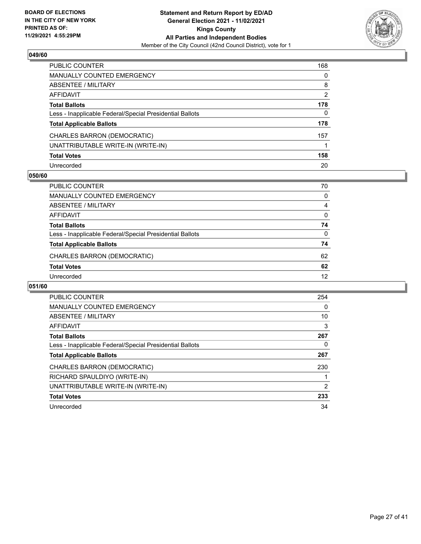

| PUBLIC COUNTER                                           | 168            |
|----------------------------------------------------------|----------------|
| <b>MANUALLY COUNTED EMERGENCY</b>                        | 0              |
| ABSENTEE / MILITARY                                      | 8              |
| <b>AFFIDAVIT</b>                                         | $\overline{2}$ |
| <b>Total Ballots</b>                                     | 178            |
| Less - Inapplicable Federal/Special Presidential Ballots | $\mathbf{0}$   |
| <b>Total Applicable Ballots</b>                          | 178            |
| CHARLES BARRON (DEMOCRATIC)                              | 157            |
| UNATTRIBUTABLE WRITE-IN (WRITE-IN)                       |                |
| <b>Total Votes</b>                                       | 158            |
| Unrecorded                                               | 20             |

#### **050/60**

| PUBLIC COUNTER                                           | 70       |
|----------------------------------------------------------|----------|
| MANUALLY COUNTED EMERGENCY                               | $\Omega$ |
| ABSENTEE / MILITARY                                      | 4        |
| AFFIDAVIT                                                | 0        |
| <b>Total Ballots</b>                                     | 74       |
| Less - Inapplicable Federal/Special Presidential Ballots | $\Omega$ |
| <b>Total Applicable Ballots</b>                          | 74       |
| CHARLES BARRON (DEMOCRATIC)                              | 62       |
| <b>Total Votes</b>                                       | 62       |
| Unrecorded                                               | 12       |

| <b>PUBLIC COUNTER</b>                                    | 254 |
|----------------------------------------------------------|-----|
| <b>MANUALLY COUNTED EMERGENCY</b>                        | 0   |
| ABSENTEE / MILITARY                                      | 10  |
| AFFIDAVIT                                                | 3   |
| <b>Total Ballots</b>                                     | 267 |
| Less - Inapplicable Federal/Special Presidential Ballots | 0   |
| <b>Total Applicable Ballots</b>                          | 267 |
| CHARLES BARRON (DEMOCRATIC)                              | 230 |
| RICHARD SPAULDIYO (WRITE-IN)                             |     |
| UNATTRIBUTABLE WRITE-IN (WRITE-IN)                       | 2   |
| <b>Total Votes</b>                                       | 233 |
| Unrecorded                                               | 34  |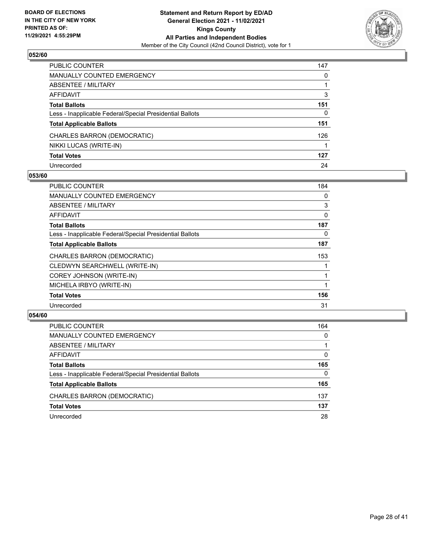

| PUBLIC COUNTER                                           | 147 |
|----------------------------------------------------------|-----|
| <b>MANUALLY COUNTED EMERGENCY</b>                        | 0   |
| ABSENTEE / MILITARY                                      |     |
| AFFIDAVIT                                                | 3   |
| <b>Total Ballots</b>                                     | 151 |
| Less - Inapplicable Federal/Special Presidential Ballots | 0   |
| <b>Total Applicable Ballots</b>                          | 151 |
| CHARLES BARRON (DEMOCRATIC)                              | 126 |
| NIKKI LUCAS (WRITE-IN)                                   |     |
| <b>Total Votes</b>                                       | 127 |
| Unrecorded                                               | 24  |

## **053/60**

| PUBLIC COUNTER                                           | 184      |
|----------------------------------------------------------|----------|
| <b>MANUALLY COUNTED EMERGENCY</b>                        | $\Omega$ |
| <b>ABSENTEE / MILITARY</b>                               | 3        |
| AFFIDAVIT                                                | 0        |
| <b>Total Ballots</b>                                     | 187      |
| Less - Inapplicable Federal/Special Presidential Ballots | 0        |
| <b>Total Applicable Ballots</b>                          | 187      |
| CHARLES BARRON (DEMOCRATIC)                              | 153      |
| CLEDWYN SEARCHWELL (WRITE-IN)                            |          |
| COREY JOHNSON (WRITE-IN)                                 |          |
| MICHELA IRBYO (WRITE-IN)                                 |          |
| <b>Total Votes</b>                                       | 156      |
| Unrecorded                                               | 31       |

| <b>PUBLIC COUNTER</b>                                    | 164      |
|----------------------------------------------------------|----------|
| MANUALLY COUNTED EMERGENCY                               | $\Omega$ |
| ABSENTEE / MILITARY                                      |          |
| AFFIDAVIT                                                | $\Omega$ |
| <b>Total Ballots</b>                                     | 165      |
| Less - Inapplicable Federal/Special Presidential Ballots | $\Omega$ |
| <b>Total Applicable Ballots</b>                          | 165      |
| CHARLES BARRON (DEMOCRATIC)                              | 137      |
| <b>Total Votes</b>                                       | 137      |
| Unrecorded                                               | 28       |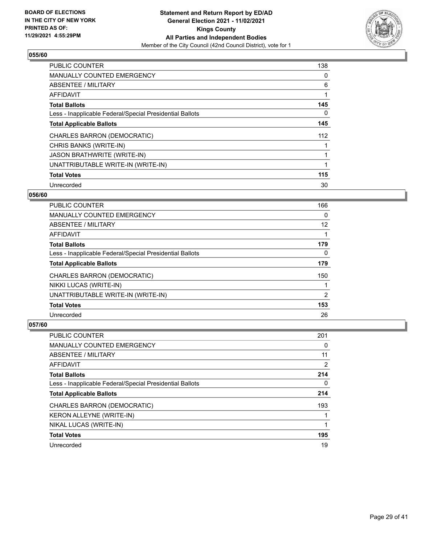

| PUBLIC COUNTER                                           | 138 |
|----------------------------------------------------------|-----|
| <b>MANUALLY COUNTED EMERGENCY</b>                        | 0   |
| ABSENTEE / MILITARY                                      | 6   |
| <b>AFFIDAVIT</b>                                         |     |
| <b>Total Ballots</b>                                     | 145 |
| Less - Inapplicable Federal/Special Presidential Ballots | 0   |
| <b>Total Applicable Ballots</b>                          | 145 |
| CHARLES BARRON (DEMOCRATIC)                              | 112 |
| CHRIS BANKS (WRITE-IN)                                   |     |
| <b>JASON BRATHWRITE (WRITE-IN)</b>                       |     |
| UNATTRIBUTABLE WRITE-IN (WRITE-IN)                       |     |
| <b>Total Votes</b>                                       | 115 |
| Unrecorded                                               | 30  |

## **056/60**

| <b>PUBLIC COUNTER</b>                                    | 166 |
|----------------------------------------------------------|-----|
| <b>MANUALLY COUNTED EMERGENCY</b>                        | 0   |
| ABSENTEE / MILITARY                                      | 12  |
| <b>AFFIDAVIT</b>                                         |     |
| <b>Total Ballots</b>                                     | 179 |
| Less - Inapplicable Federal/Special Presidential Ballots | 0   |
| <b>Total Applicable Ballots</b>                          | 179 |
| CHARLES BARRON (DEMOCRATIC)                              | 150 |
| NIKKI LUCAS (WRITE-IN)                                   |     |
| UNATTRIBUTABLE WRITE-IN (WRITE-IN)                       | 2   |
| <b>Total Votes</b>                                       | 153 |
| Unrecorded                                               | 26  |

| PUBLIC COUNTER                                           | 201 |
|----------------------------------------------------------|-----|
| <b>MANUALLY COUNTED EMERGENCY</b>                        | 0   |
| ABSENTEE / MILITARY                                      | 11  |
| AFFIDAVIT                                                | 2   |
| <b>Total Ballots</b>                                     | 214 |
| Less - Inapplicable Federal/Special Presidential Ballots | 0   |
| <b>Total Applicable Ballots</b>                          | 214 |
| CHARLES BARRON (DEMOCRATIC)                              | 193 |
| KERON ALLEYNE (WRITE-IN)                                 |     |
| NIKAL LUCAS (WRITE-IN)                                   |     |
| <b>Total Votes</b>                                       | 195 |
| Unrecorded                                               | 19  |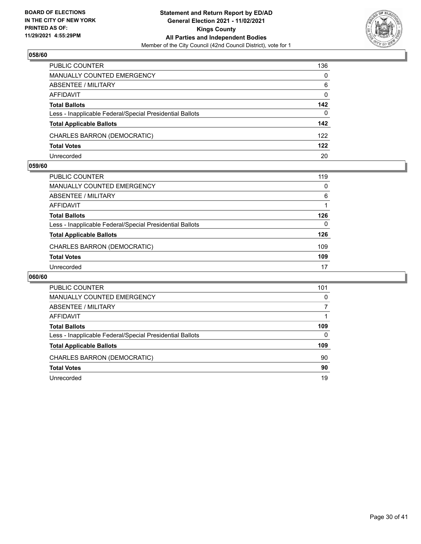

| PUBLIC COUNTER                                           | 136          |
|----------------------------------------------------------|--------------|
| <b>MANUALLY COUNTED EMERGENCY</b>                        | $\Omega$     |
| <b>ABSENTEE / MILITARY</b>                               | 6            |
| AFFIDAVIT                                                | $\mathbf{0}$ |
| <b>Total Ballots</b>                                     | 142          |
| Less - Inapplicable Federal/Special Presidential Ballots | $\Omega$     |
| <b>Total Applicable Ballots</b>                          | 142          |
| CHARLES BARRON (DEMOCRATIC)                              | 122          |
| <b>Total Votes</b>                                       | 122          |
| Unrecorded                                               | 20           |

#### **059/60**

| PUBLIC COUNTER                                           | 119      |
|----------------------------------------------------------|----------|
| <b>MANUALLY COUNTED EMERGENCY</b>                        | $\Omega$ |
| ABSENTEE / MILITARY                                      | 6        |
| AFFIDAVIT                                                |          |
| <b>Total Ballots</b>                                     | 126      |
| Less - Inapplicable Federal/Special Presidential Ballots | 0        |
| <b>Total Applicable Ballots</b>                          | 126      |
| CHARLES BARRON (DEMOCRATIC)                              | 109      |
| <b>Total Votes</b>                                       | 109      |
| Unrecorded                                               | 17       |

| <b>PUBLIC COUNTER</b>                                    | 101      |
|----------------------------------------------------------|----------|
| MANUALLY COUNTED EMERGENCY                               | 0        |
| ABSENTEE / MILITARY                                      |          |
| AFFIDAVIT                                                |          |
| <b>Total Ballots</b>                                     | 109      |
| Less - Inapplicable Federal/Special Presidential Ballots | $\Omega$ |
| <b>Total Applicable Ballots</b>                          | 109      |
| CHARLES BARRON (DEMOCRATIC)                              | 90       |
| <b>Total Votes</b>                                       | 90       |
| Unrecorded                                               | 19       |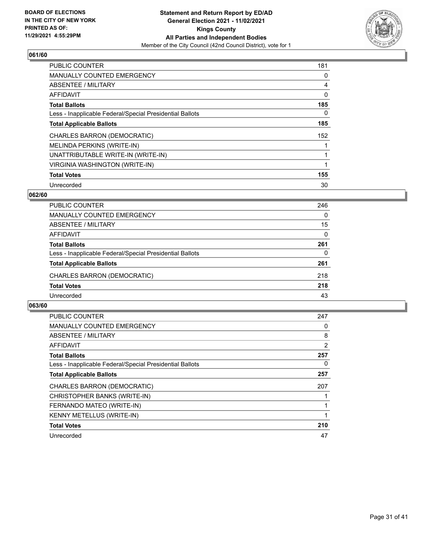

| <b>PUBLIC COUNTER</b>                                    | 181 |
|----------------------------------------------------------|-----|
| <b>MANUALLY COUNTED EMERGENCY</b>                        | 0   |
| ABSENTEE / MILITARY                                      | 4   |
| <b>AFFIDAVIT</b>                                         | 0   |
| <b>Total Ballots</b>                                     | 185 |
| Less - Inapplicable Federal/Special Presidential Ballots | 0   |
| <b>Total Applicable Ballots</b>                          | 185 |
| CHARLES BARRON (DEMOCRATIC)                              | 152 |
| <b>MELINDA PERKINS (WRITE-IN)</b>                        |     |
| UNATTRIBUTABLE WRITE-IN (WRITE-IN)                       |     |
| VIRGINIA WASHINGTON (WRITE-IN)                           |     |
| <b>Total Votes</b>                                       | 155 |
| Unrecorded                                               | 30  |

## **062/60**

| <b>PUBLIC COUNTER</b>                                    | 246      |
|----------------------------------------------------------|----------|
| MANUALLY COUNTED EMERGENCY                               | $\Omega$ |
| ABSENTEE / MILITARY                                      | 15       |
| AFFIDAVIT                                                | $\Omega$ |
| <b>Total Ballots</b>                                     | 261      |
| Less - Inapplicable Federal/Special Presidential Ballots | $\Omega$ |
| <b>Total Applicable Ballots</b>                          | 261      |
| CHARLES BARRON (DEMOCRATIC)                              | 218      |
| <b>Total Votes</b>                                       | 218      |
| Unrecorded                                               | 43       |

| <b>PUBLIC COUNTER</b>                                    | 247 |
|----------------------------------------------------------|-----|
| <b>MANUALLY COUNTED EMERGENCY</b>                        | 0   |
| ABSENTEE / MILITARY                                      | 8   |
| <b>AFFIDAVIT</b>                                         | 2   |
| <b>Total Ballots</b>                                     | 257 |
| Less - Inapplicable Federal/Special Presidential Ballots | 0   |
| <b>Total Applicable Ballots</b>                          | 257 |
| CHARLES BARRON (DEMOCRATIC)                              | 207 |
| CHRISTOPHER BANKS (WRITE-IN)                             |     |
| FERNANDO MATEO (WRITE-IN)                                |     |
| KENNY METELLUS (WRITE-IN)                                |     |
| <b>Total Votes</b>                                       | 210 |
| Unrecorded                                               | 47  |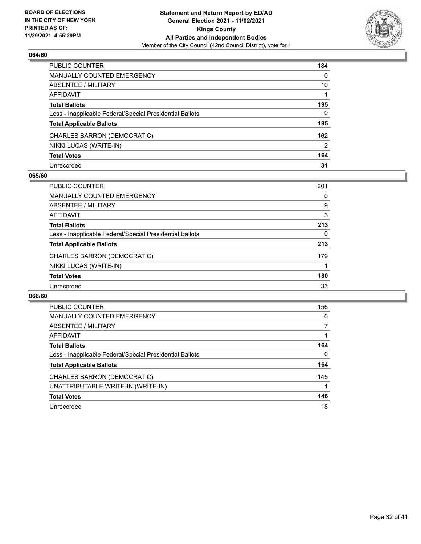

| PUBLIC COUNTER                                           | 184 |
|----------------------------------------------------------|-----|
| <b>MANUALLY COUNTED EMERGENCY</b>                        | 0   |
| ABSENTEE / MILITARY                                      | 10  |
| AFFIDAVIT                                                |     |
| <b>Total Ballots</b>                                     | 195 |
| Less - Inapplicable Federal/Special Presidential Ballots | 0   |
| <b>Total Applicable Ballots</b>                          | 195 |
| CHARLES BARRON (DEMOCRATIC)                              | 162 |
| NIKKI LUCAS (WRITE-IN)                                   | 2   |
| <b>Total Votes</b>                                       | 164 |
| Unrecorded                                               | 31  |

## **065/60**

| <b>PUBLIC COUNTER</b>                                    | 201 |
|----------------------------------------------------------|-----|
| MANUALLY COUNTED EMERGENCY                               | 0   |
| ABSENTEE / MILITARY                                      | 9   |
| <b>AFFIDAVIT</b>                                         | 3   |
| <b>Total Ballots</b>                                     | 213 |
| Less - Inapplicable Federal/Special Presidential Ballots | 0   |
| <b>Total Applicable Ballots</b>                          | 213 |
| CHARLES BARRON (DEMOCRATIC)                              | 179 |
| NIKKI LUCAS (WRITE-IN)                                   |     |
| <b>Total Votes</b>                                       | 180 |
| Unrecorded                                               | 33  |

| <b>PUBLIC COUNTER</b>                                    | 156      |
|----------------------------------------------------------|----------|
| <b>MANUALLY COUNTED EMERGENCY</b>                        | 0        |
| ABSENTEE / MILITARY                                      |          |
| <b>AFFIDAVIT</b>                                         |          |
| <b>Total Ballots</b>                                     | 164      |
| Less - Inapplicable Federal/Special Presidential Ballots | $\Omega$ |
| <b>Total Applicable Ballots</b>                          | 164      |
| CHARLES BARRON (DEMOCRATIC)                              | 145      |
| UNATTRIBUTABLE WRITE-IN (WRITE-IN)                       |          |
| <b>Total Votes</b>                                       | 146      |
| Unrecorded                                               | 18       |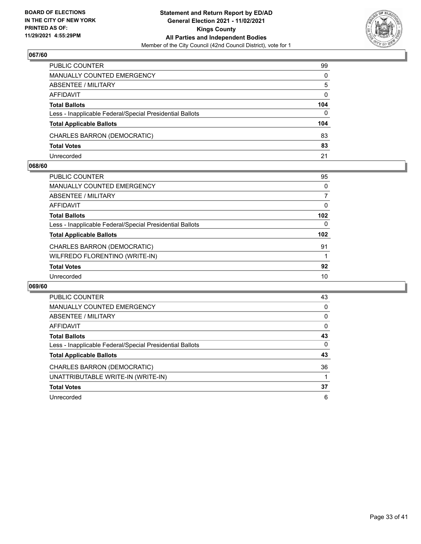

| PUBLIC COUNTER                                           | 99       |
|----------------------------------------------------------|----------|
| <b>MANUALLY COUNTED EMERGENCY</b>                        | $\Omega$ |
| ABSENTEE / MILITARY                                      | 5        |
| AFFIDAVIT                                                | $\Omega$ |
| <b>Total Ballots</b>                                     | 104      |
| Less - Inapplicable Federal/Special Presidential Ballots | $\Omega$ |
| <b>Total Applicable Ballots</b>                          | 104      |
| CHARLES BARRON (DEMOCRATIC)                              | 83       |
| <b>Total Votes</b>                                       | 83       |
| Unrecorded                                               | 21       |

## **068/60**

| PUBLIC COUNTER                                           | 95               |
|----------------------------------------------------------|------------------|
| <b>MANUALLY COUNTED EMERGENCY</b>                        | 0                |
| ABSENTEE / MILITARY                                      |                  |
| <b>AFFIDAVIT</b>                                         | 0                |
| <b>Total Ballots</b>                                     | 102 <sub>2</sub> |
| Less - Inapplicable Federal/Special Presidential Ballots | $\Omega$         |
| <b>Total Applicable Ballots</b>                          | 102              |
| CHARLES BARRON (DEMOCRATIC)                              | 91               |
| WILFREDO FLORENTINO (WRITE-IN)                           |                  |
| <b>Total Votes</b>                                       | 92               |
| Unrecorded                                               | 10               |
|                                                          |                  |

| <b>PUBLIC COUNTER</b>                                    | 43       |
|----------------------------------------------------------|----------|
| <b>MANUALLY COUNTED EMERGENCY</b>                        | $\Omega$ |
| ABSENTEE / MILITARY                                      | $\Omega$ |
| AFFIDAVIT                                                | 0        |
| <b>Total Ballots</b>                                     | 43       |
| Less - Inapplicable Federal/Special Presidential Ballots | $\Omega$ |
| <b>Total Applicable Ballots</b>                          | 43       |
| CHARLES BARRON (DEMOCRATIC)                              | 36       |
| UNATTRIBUTABLE WRITE-IN (WRITE-IN)                       |          |
| <b>Total Votes</b>                                       | 37       |
| Unrecorded                                               | 6        |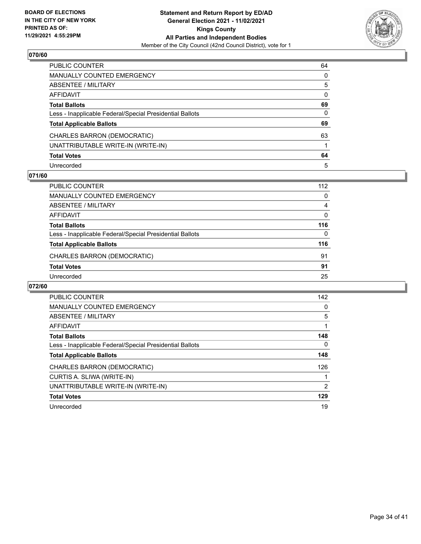

| PUBLIC COUNTER                                           | 64           |
|----------------------------------------------------------|--------------|
| <b>MANUALLY COUNTED EMERGENCY</b>                        | 0            |
| ABSENTEE / MILITARY                                      | 5            |
| AFFIDAVIT                                                | $\mathbf{0}$ |
| <b>Total Ballots</b>                                     | 69           |
| Less - Inapplicable Federal/Special Presidential Ballots | 0            |
| <b>Total Applicable Ballots</b>                          | 69           |
| CHARLES BARRON (DEMOCRATIC)                              | 63           |
| UNATTRIBUTABLE WRITE-IN (WRITE-IN)                       |              |
| <b>Total Votes</b>                                       | 64           |
| Unrecorded                                               | 5            |

## **071/60**

| <b>PUBLIC COUNTER</b>                                    | 142 |
|----------------------------------------------------------|-----|
| <b>MANUALLY COUNTED EMERGENCY</b>                        | 0   |
| ABSENTEE / MILITARY                                      | 5   |
| AFFIDAVIT                                                |     |
| <b>Total Ballots</b>                                     | 148 |
| Less - Inapplicable Federal/Special Presidential Ballots | 0   |
| <b>Total Applicable Ballots</b>                          | 148 |
| CHARLES BARRON (DEMOCRATIC)                              | 126 |
| CURTIS A. SLIWA (WRITE-IN)                               |     |
| UNATTRIBUTABLE WRITE-IN (WRITE-IN)                       | 2   |
| <b>Total Votes</b>                                       | 129 |
| Unrecorded                                               | 19  |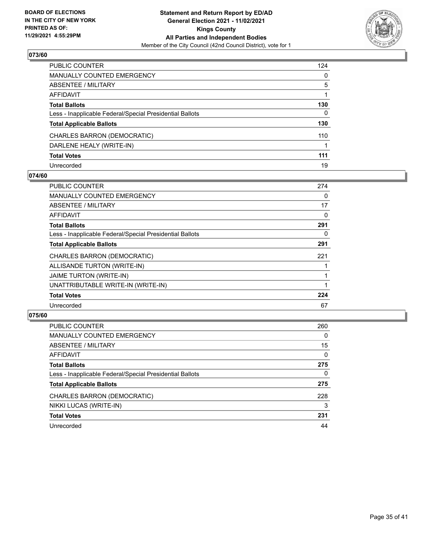

| PUBLIC COUNTER                                           | 124 |
|----------------------------------------------------------|-----|
| MANUALLY COUNTED EMERGENCY                               | 0   |
| ABSENTEE / MILITARY                                      | 5   |
| AFFIDAVIT                                                |     |
| Total Ballots                                            | 130 |
| Less - Inapplicable Federal/Special Presidential Ballots | 0   |
| <b>Total Applicable Ballots</b>                          | 130 |
| CHARLES BARRON (DEMOCRATIC)                              | 110 |
| DARLENE HEALY (WRITE-IN)                                 |     |
| <b>Total Votes</b>                                       | 111 |
| Unrecorded                                               | 19  |

## **074/60**

| PUBLIC COUNTER                                           | 274 |
|----------------------------------------------------------|-----|
| <b>MANUALLY COUNTED EMERGENCY</b>                        | 0   |
| <b>ABSENTEE / MILITARY</b>                               | 17  |
| AFFIDAVIT                                                | 0   |
| <b>Total Ballots</b>                                     | 291 |
| Less - Inapplicable Federal/Special Presidential Ballots | 0   |
| <b>Total Applicable Ballots</b>                          | 291 |
| CHARLES BARRON (DEMOCRATIC)                              | 221 |
| ALLISANDE TURTON (WRITE-IN)                              |     |
| <b>JAIME TURTON (WRITE-IN)</b>                           |     |
| UNATTRIBUTABLE WRITE-IN (WRITE-IN)                       |     |
| <b>Total Votes</b>                                       | 224 |
| Unrecorded                                               | 67  |

| <b>PUBLIC COUNTER</b>                                    | 260      |
|----------------------------------------------------------|----------|
| <b>MANUALLY COUNTED EMERGENCY</b>                        | $\Omega$ |
| ABSENTEE / MILITARY                                      | 15       |
| AFFIDAVIT                                                | $\Omega$ |
| <b>Total Ballots</b>                                     | 275      |
| Less - Inapplicable Federal/Special Presidential Ballots | 0        |
| <b>Total Applicable Ballots</b>                          | 275      |
| CHARLES BARRON (DEMOCRATIC)                              | 228      |
| NIKKI LUCAS (WRITE-IN)                                   | 3        |
| <b>Total Votes</b>                                       | 231      |
| Unrecorded                                               | 44       |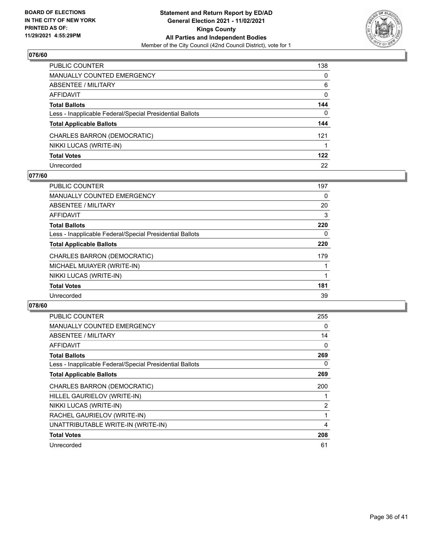

| PUBLIC COUNTER                                           | 138          |
|----------------------------------------------------------|--------------|
| MANUALLY COUNTED EMERGENCY                               | 0            |
| ABSENTEE / MILITARY                                      | 6            |
| AFFIDAVIT                                                | 0            |
| Total Ballots                                            | 144          |
| Less - Inapplicable Federal/Special Presidential Ballots | $\mathbf{0}$ |
| <b>Total Applicable Ballots</b>                          | 144          |
| CHARLES BARRON (DEMOCRATIC)                              | 121          |
| NIKKI LUCAS (WRITE-IN)                                   |              |
| <b>Total Votes</b>                                       | 122          |
| Unrecorded                                               | 22           |

## **077/60**

| <b>PUBLIC COUNTER</b>                                    | 197 |
|----------------------------------------------------------|-----|
| <b>MANUALLY COUNTED EMERGENCY</b>                        | 0   |
| ABSENTEE / MILITARY                                      | 20  |
| AFFIDAVIT                                                | 3   |
| <b>Total Ballots</b>                                     | 220 |
| Less - Inapplicable Federal/Special Presidential Ballots | 0   |
| <b>Total Applicable Ballots</b>                          | 220 |
| CHARLES BARRON (DEMOCRATIC)                              | 179 |
| MICHAEL MUIAYER (WRITE-IN)                               |     |
| NIKKI LUCAS (WRITE-IN)                                   |     |
| <b>Total Votes</b>                                       | 181 |
| Unrecorded                                               | 39  |

| <b>PUBLIC COUNTER</b>                                    | 255            |
|----------------------------------------------------------|----------------|
| <b>MANUALLY COUNTED EMERGENCY</b>                        | 0              |
| ABSENTEE / MILITARY                                      | 14             |
| AFFIDAVIT                                                | 0              |
| <b>Total Ballots</b>                                     | 269            |
| Less - Inapplicable Federal/Special Presidential Ballots | 0              |
| <b>Total Applicable Ballots</b>                          | 269            |
| CHARLES BARRON (DEMOCRATIC)                              | 200            |
| HILLEL GAURIELOV (WRITE-IN)                              |                |
| NIKKI LUCAS (WRITE-IN)                                   | $\overline{2}$ |
| RACHEL GAURIELOV (WRITE-IN)                              |                |
| UNATTRIBUTABLE WRITE-IN (WRITE-IN)                       | 4              |
| <b>Total Votes</b>                                       | 208            |
| Unrecorded                                               | 61             |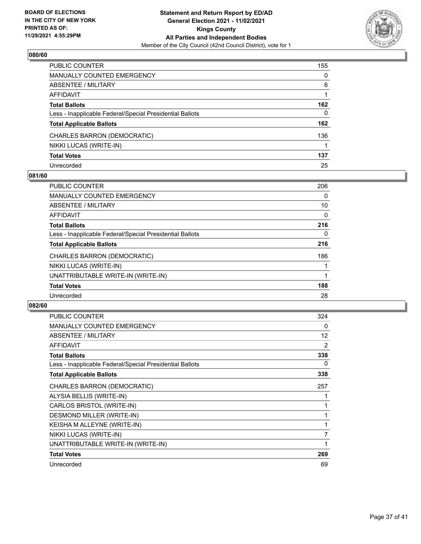

| PUBLIC COUNTER                                           | 155 |
|----------------------------------------------------------|-----|
| <b>MANUALLY COUNTED EMERGENCY</b>                        | 0   |
| ABSENTEE / MILITARY                                      | 6   |
| AFFIDAVIT                                                |     |
| <b>Total Ballots</b>                                     | 162 |
| Less - Inapplicable Federal/Special Presidential Ballots | 0   |
| <b>Total Applicable Ballots</b>                          | 162 |
| CHARLES BARRON (DEMOCRATIC)                              | 136 |
| NIKKI LUCAS (WRITE-IN)                                   |     |
| <b>Total Votes</b>                                       | 137 |
| Unrecorded                                               | 25  |

## **081/60**

| <b>PUBLIC COUNTER</b>                                    | 206      |
|----------------------------------------------------------|----------|
| <b>MANUALLY COUNTED EMERGENCY</b>                        | 0        |
| ABSENTEE / MILITARY                                      | 10       |
| AFFIDAVIT                                                | $\Omega$ |
| <b>Total Ballots</b>                                     | 216      |
| Less - Inapplicable Federal/Special Presidential Ballots | 0        |
| <b>Total Applicable Ballots</b>                          | 216      |
| CHARLES BARRON (DEMOCRATIC)                              | 186      |
| NIKKI LUCAS (WRITE-IN)                                   |          |
| UNATTRIBUTABLE WRITE-IN (WRITE-IN)                       |          |
| <b>Total Votes</b>                                       | 188      |
| Unrecorded                                               | 28       |

| <b>PUBLIC COUNTER</b>                                    | 324               |
|----------------------------------------------------------|-------------------|
| MANUALLY COUNTED EMERGENCY                               | 0                 |
| ABSENTEE / MILITARY                                      | $12 \overline{ }$ |
| AFFIDAVIT                                                | $\overline{2}$    |
| <b>Total Ballots</b>                                     | 338               |
| Less - Inapplicable Federal/Special Presidential Ballots | 0                 |
| <b>Total Applicable Ballots</b>                          | 338               |
| CHARLES BARRON (DEMOCRATIC)                              | 257               |
| ALYSIA BELLIS (WRITE-IN)                                 |                   |
| CARLOS BRISTOL (WRITE-IN)                                |                   |
| DESMOND MILLER (WRITE-IN)                                |                   |
| KEISHA M ALLEYNE (WRITE-IN)                              | 1                 |
| NIKKI LUCAS (WRITE-IN)                                   | $\overline{7}$    |
| UNATTRIBUTABLE WRITE-IN (WRITE-IN)                       | 1                 |
| <b>Total Votes</b>                                       | 269               |
| Unrecorded                                               | 69                |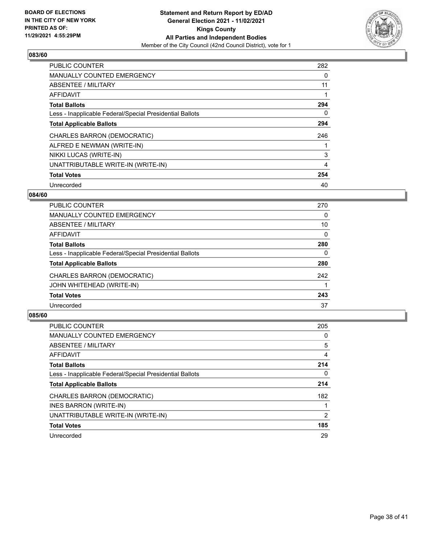

| <b>PUBLIC COUNTER</b>                                    | 282 |
|----------------------------------------------------------|-----|
| <b>MANUALLY COUNTED EMERGENCY</b>                        | 0   |
| ABSENTEE / MILITARY                                      | 11  |
| <b>AFFIDAVIT</b>                                         |     |
| <b>Total Ballots</b>                                     | 294 |
| Less - Inapplicable Federal/Special Presidential Ballots | 0   |
| <b>Total Applicable Ballots</b>                          | 294 |
| CHARLES BARRON (DEMOCRATIC)                              | 246 |
| ALFRED E NEWMAN (WRITE-IN)                               |     |
| NIKKI LUCAS (WRITE-IN)                                   | 3   |
| UNATTRIBUTABLE WRITE-IN (WRITE-IN)                       | 4   |
| <b>Total Votes</b>                                       | 254 |
| Unrecorded                                               | 40  |

## **084/60**

| <b>PUBLIC COUNTER</b>                                    | 270      |
|----------------------------------------------------------|----------|
| <b>MANUALLY COUNTED EMERGENCY</b>                        | 0        |
| ABSENTEE / MILITARY                                      | 10       |
| AFFIDAVIT                                                | $\Omega$ |
| <b>Total Ballots</b>                                     | 280      |
| Less - Inapplicable Federal/Special Presidential Ballots | 0        |
| <b>Total Applicable Ballots</b>                          | 280      |
| CHARLES BARRON (DEMOCRATIC)                              | 242      |
| JOHN WHITEHEAD (WRITE-IN)                                |          |
| <b>Total Votes</b>                                       | 243      |
| Unrecorded                                               | 37       |
|                                                          |          |

| <b>PUBLIC COUNTER</b>                                    | 205           |
|----------------------------------------------------------|---------------|
| <b>MANUALLY COUNTED EMERGENCY</b>                        | 0             |
| ABSENTEE / MILITARY                                      | 5             |
| <b>AFFIDAVIT</b>                                         | 4             |
| <b>Total Ballots</b>                                     | 214           |
| Less - Inapplicable Federal/Special Presidential Ballots | 0             |
| <b>Total Applicable Ballots</b>                          | 214           |
| CHARLES BARRON (DEMOCRATIC)                              | 182           |
| INES BARRON (WRITE-IN)                                   |               |
| UNATTRIBUTABLE WRITE-IN (WRITE-IN)                       | $\mathcal{P}$ |
| <b>Total Votes</b>                                       | 185           |
| Unrecorded                                               | 29            |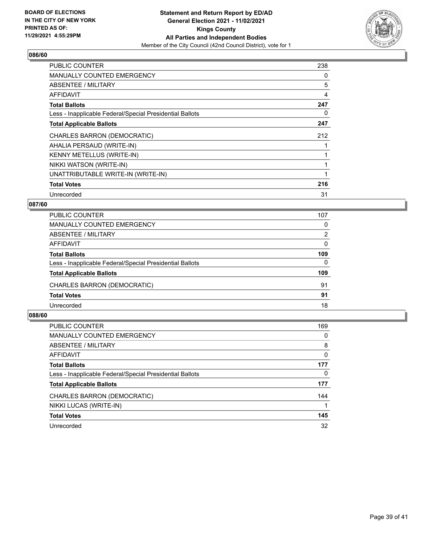

| <b>PUBLIC COUNTER</b>                                    | 238 |
|----------------------------------------------------------|-----|
| <b>MANUALLY COUNTED EMERGENCY</b>                        | 0   |
| ABSENTEE / MILITARY                                      | 5   |
| <b>AFFIDAVIT</b>                                         | 4   |
| <b>Total Ballots</b>                                     | 247 |
| Less - Inapplicable Federal/Special Presidential Ballots | 0   |
| <b>Total Applicable Ballots</b>                          | 247 |
| CHARLES BARRON (DEMOCRATIC)                              | 212 |
| AHALIA PERSAUD (WRITE-IN)                                |     |
| KENNY METELLUS (WRITE-IN)                                |     |
| NIKKI WATSON (WRITE-IN)                                  |     |
| UNATTRIBUTABLE WRITE-IN (WRITE-IN)                       |     |
| <b>Total Votes</b>                                       | 216 |
| Unrecorded                                               | 31  |

## **087/60**

| PUBLIC COUNTER                                           | 107      |
|----------------------------------------------------------|----------|
| MANUALLY COUNTED EMERGENCY                               | $\Omega$ |
| ABSENTEE / MILITARY                                      | 2        |
| AFFIDAVIT                                                | $\Omega$ |
| <b>Total Ballots</b>                                     | 109      |
| Less - Inapplicable Federal/Special Presidential Ballots | $\Omega$ |
| <b>Total Applicable Ballots</b>                          | 109      |
| CHARLES BARRON (DEMOCRATIC)                              | 91       |
| <b>Total Votes</b>                                       | 91       |
| Unrecorded                                               | 18       |

| <b>PUBLIC COUNTER</b>                                    | 169      |
|----------------------------------------------------------|----------|
| <b>MANUALLY COUNTED EMERGENCY</b>                        | 0        |
| ABSENTEE / MILITARY                                      | 8        |
| AFFIDAVIT                                                | $\Omega$ |
| <b>Total Ballots</b>                                     | 177      |
| Less - Inapplicable Federal/Special Presidential Ballots | 0        |
| <b>Total Applicable Ballots</b>                          | 177      |
| CHARLES BARRON (DEMOCRATIC)                              | 144      |
| NIKKI LUCAS (WRITE-IN)                                   |          |
| <b>Total Votes</b>                                       | 145      |
| Unrecorded                                               | 32       |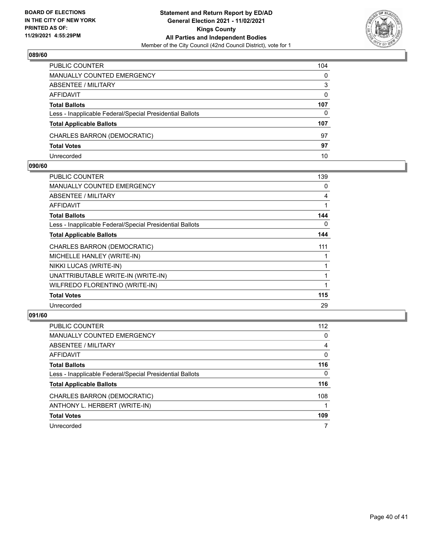

| PUBLIC COUNTER                                           | 104      |
|----------------------------------------------------------|----------|
| <b>MANUALLY COUNTED EMERGENCY</b>                        | $\Omega$ |
| <b>ABSENTEE / MILITARY</b>                               | 3        |
| AFFIDAVIT                                                | $\Omega$ |
| <b>Total Ballots</b>                                     | 107      |
| Less - Inapplicable Federal/Special Presidential Ballots | 0        |
| <b>Total Applicable Ballots</b>                          | 107      |
| CHARLES BARRON (DEMOCRATIC)                              | 97       |
| <b>Total Votes</b>                                       | 97       |
| Unrecorded                                               | 10       |

#### **090/60**

| PUBLIC COUNTER                                           | 139 |
|----------------------------------------------------------|-----|
|                                                          |     |
| <b>MANUALLY COUNTED EMERGENCY</b>                        | 0   |
| ABSENTEE / MILITARY                                      | 4   |
| AFFIDAVIT                                                | 1   |
| <b>Total Ballots</b>                                     | 144 |
| Less - Inapplicable Federal/Special Presidential Ballots | 0   |
| <b>Total Applicable Ballots</b>                          | 144 |
| CHARLES BARRON (DEMOCRATIC)                              | 111 |
| MICHELLE HANLEY (WRITE-IN)                               |     |
| NIKKI LUCAS (WRITE-IN)                                   |     |
| UNATTRIBUTABLE WRITE-IN (WRITE-IN)                       |     |
| WILFREDO FLORENTINO (WRITE-IN)                           | 1   |
| <b>Total Votes</b>                                       | 115 |
| Unrecorded                                               | 29  |
|                                                          |     |

| <b>PUBLIC COUNTER</b>                                    | 112      |
|----------------------------------------------------------|----------|
| <b>MANUALLY COUNTED EMERGENCY</b>                        | 0        |
| ABSENTEE / MILITARY                                      | 4        |
| AFFIDAVIT                                                | $\Omega$ |
| <b>Total Ballots</b>                                     | 116      |
| Less - Inapplicable Federal/Special Presidential Ballots | 0        |
| <b>Total Applicable Ballots</b>                          | 116      |
| CHARLES BARRON (DEMOCRATIC)                              | 108      |
| ANTHONY L. HERBERT (WRITE-IN)                            |          |
| <b>Total Votes</b>                                       | 109      |
| Unrecorded                                               | 7        |